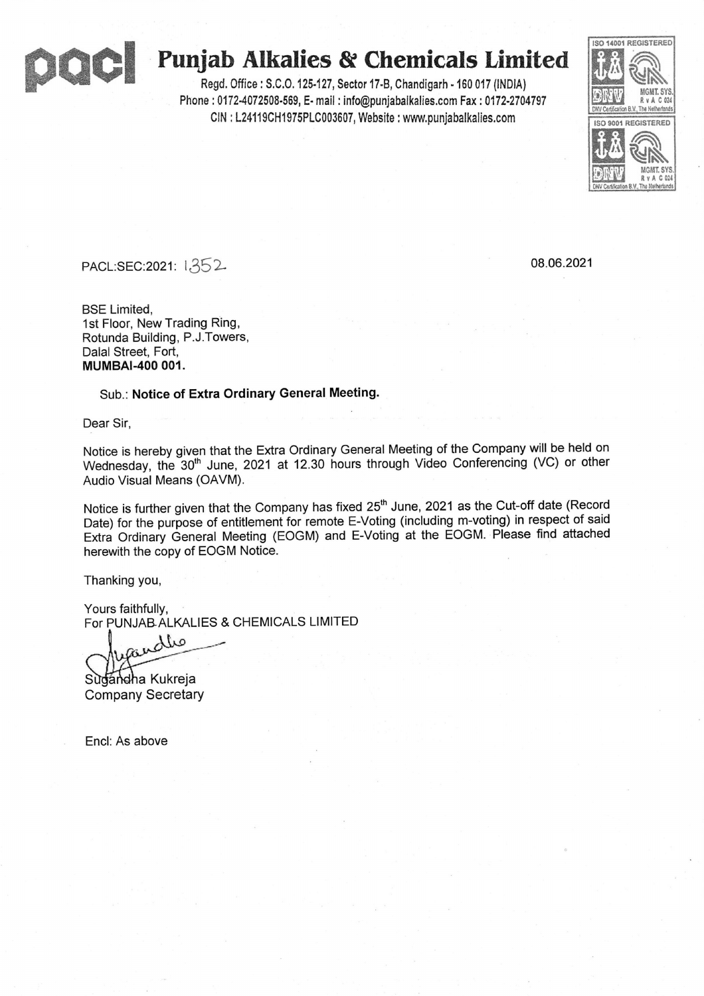

# **acl Punjab Alk alies & Chemicals Lim ited**

Regd. Office: S.C.O.125-127, Sector 17-B, Chandigarh -160 <sup>017</sup> {INDIA) Phone : 0172-4072508-569, E- mail : info@punjabalkalies.com Fax : 0172-2704797 CIN: L24119CH1975PLC003607, Website : www.punjabalkalies.com



PACL:SEC:2021: 1352- 08.06.2021

BSE Limited, 1st Floor, New Trading Ring, Rotunda Building, P.J.Towers, Dalal Street, Fort, **MUMBAl-400 001.**

Sub.: **Notice of Extra Ordinary General Meeting.**

Dear Sir,

Notice is hereby given that the Extra Ordinary General Meeting of the Company will be held on Notice is hereby given that the Extra Ordinary General Meeting of the Company will be held on<br>Wednesday, the 30<sup>th</sup> June, 2021 at 12.30 hours through Video Conferencing (VC) or other<br>Audio Visual Means (OAVM).

Notice is further given that the Company has fixed 25<sup>th</sup> June, 2021 as the Cut-off date (Record Date) for the purpose of entitlement for remote E-Voting (including m-voting) in respect of said Extra Ordinary General Meeting (EOGM) and E-Voting at the EOGM. Please find attached herewith the copy of EOGM Notice.

Thanking you,

Yours faithfully, For PUNJAB ALKALIES & CHEMICALS LIMITED

min

Sugandha Kukreja Company Secretary

Encl: As above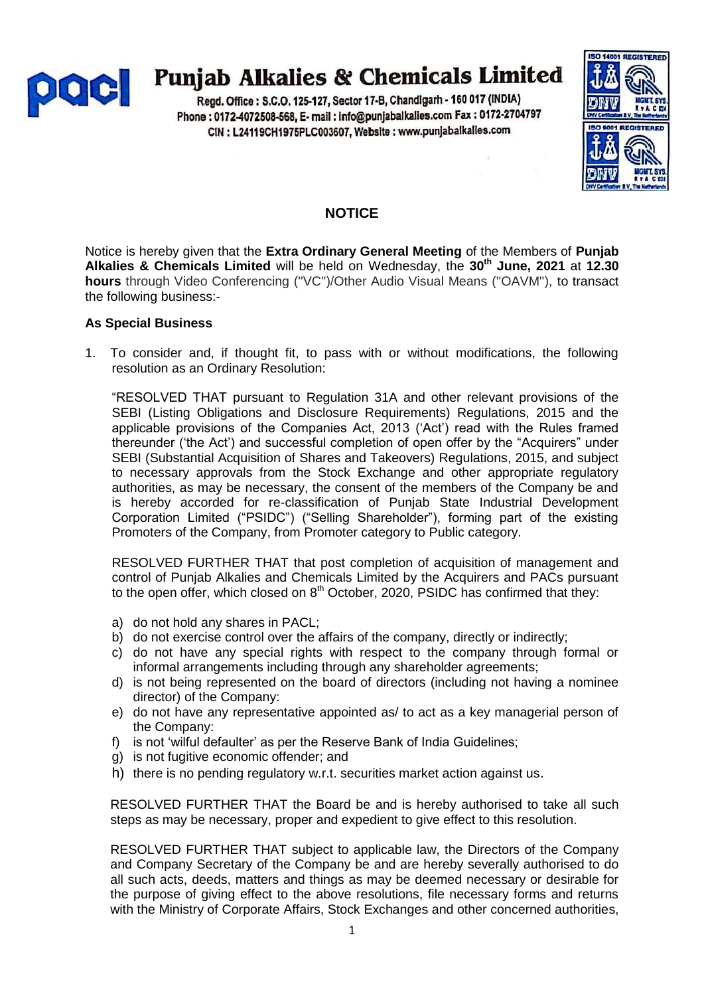

# **Punjab Alkalies & Chemicals Limited**

Regd. Office: S.C.O. 125-127, Sector 17-B, Chandigarh - 160 017 (INDIA) Phone: 0172-4072508-568, E- mail: info@punjabalkalies.com Fax: 0172-2704797 CIN : L24119CH1975PLC003607, Website : www.punjabalkalies.com



# **NOTICE**

Notice is hereby given that the **Extra Ordinary General Meeting** of the Members of **Punjab Alkalies & Chemicals Limited** will be held on Wednesday, the **30th June, 2021** at **12.30 hours** through Video Conferencing (''VC'')/Other Audio Visual Means (''OAVM''), to transact the following business:-

## **As Special Business**

1. To consider and, if thought fit, to pass with or without modifications, the following resolution as an Ordinary Resolution:

"RESOLVED THAT pursuant to Regulation 31A and other relevant provisions of the SEBI (Listing Obligations and Disclosure Requirements) Regulations, 2015 and the applicable provisions of the Companies Act, 2013 ("Act") read with the Rules framed thereunder ("the Act") and successful completion of open offer by the "Acquirers" under SEBI (Substantial Acquisition of Shares and Takeovers) Regulations, 2015, and subject to necessary approvals from the Stock Exchange and other appropriate regulatory authorities, as may be necessary, the consent of the members of the Company be and is hereby accorded for re-classification of Punjab State Industrial Development Corporation Limited ("PSIDC") ("Selling Shareholder"), forming part of the existing Promoters of the Company, from Promoter category to Public category.

RESOLVED FURTHER THAT that post completion of acquisition of management and control of Punjab Alkalies and Chemicals Limited by the Acquirers and PACs pursuant to the open offer, which closed on  $8<sup>th</sup>$  October, 2020, PSIDC has confirmed that they:

- a) do not hold any shares in PACL;
- b) do not exercise control over the affairs of the company, directly or indirectly;
- c) do not have any special rights with respect to the company through formal or informal arrangements including through any shareholder agreements;
- d) is not being represented on the board of directors (including not having a nominee director) of the Company:
- e) do not have any representative appointed as/ to act as a key managerial person of the Company:
- f) is not 'wilful defaulter' as per the Reserve Bank of India Guidelines;
- g) is not fugitive economic offender; and
- h) there is no pending regulatory w.r.t. securities market action against us.

RESOLVED FURTHER THAT the Board be and is hereby authorised to take all such steps as may be necessary, proper and expedient to give effect to this resolution.

RESOLVED FURTHER THAT subject to applicable law, the Directors of the Company and Company Secretary of the Company be and are hereby severally authorised to do all such acts, deeds, matters and things as may be deemed necessary or desirable for the purpose of giving effect to the above resolutions, file necessary forms and returns with the Ministry of Corporate Affairs, Stock Exchanges and other concerned authorities,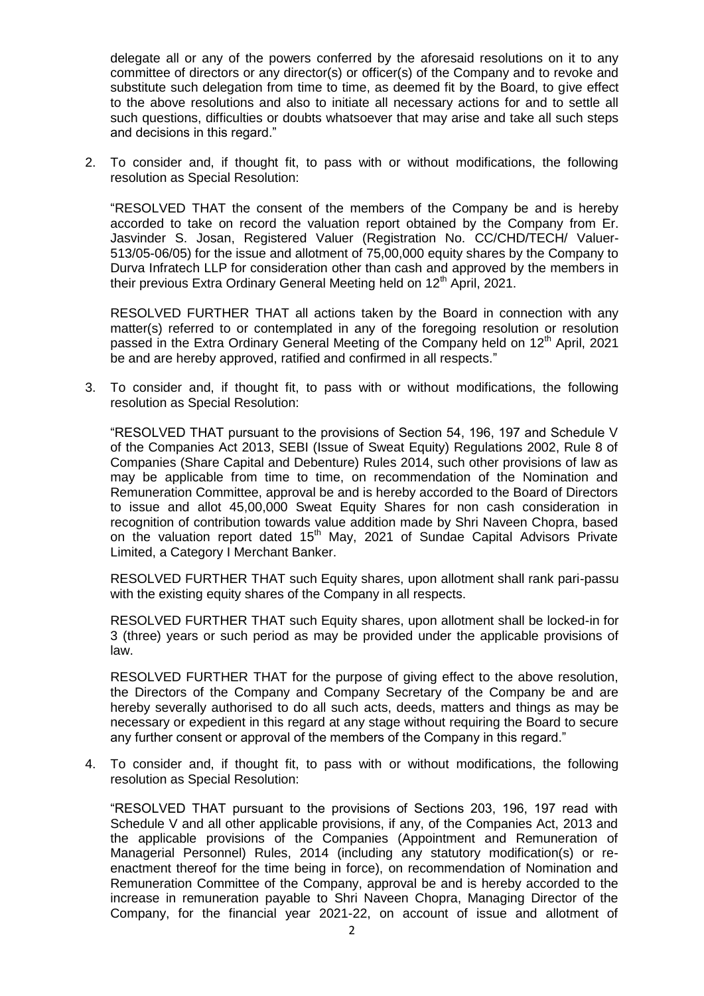delegate all or any of the powers conferred by the aforesaid resolutions on it to any committee of directors or any director(s) or officer(s) of the Company and to revoke and substitute such delegation from time to time, as deemed fit by the Board, to give effect to the above resolutions and also to initiate all necessary actions for and to settle all such questions, difficulties or doubts whatsoever that may arise and take all such steps and decisions in this regard."

2. To consider and, if thought fit, to pass with or without modifications, the following resolution as Special Resolution:

"RESOLVED THAT the consent of the members of the Company be and is hereby accorded to take on record the valuation report obtained by the Company from Er. Jasvinder S. Josan, Registered Valuer (Registration No. CC/CHD/TECH/ Valuer-513/05-06/05) for the issue and allotment of 75,00,000 equity shares by the Company to Durva Infratech LLP for consideration other than cash and approved by the members in their previous Extra Ordinary General Meeting held on  $12<sup>th</sup>$  April, 2021.

RESOLVED FURTHER THAT all actions taken by the Board in connection with any matter(s) referred to or contemplated in any of the foregoing resolution or resolution passed in the Extra Ordinary General Meeting of the Company held on  $12<sup>th</sup>$  April, 2021 be and are hereby approved, ratified and confirmed in all respects."

3. To consider and, if thought fit, to pass with or without modifications, the following resolution as Special Resolution:

"RESOLVED THAT pursuant to the provisions of Section 54, 196, 197 and Schedule V of the Companies Act 2013, SEBI (Issue of Sweat Equity) Regulations 2002, Rule 8 of Companies (Share Capital and Debenture) Rules 2014, such other provisions of law as may be applicable from time to time, on recommendation of the Nomination and Remuneration Committee, approval be and is hereby accorded to the Board of Directors to issue and allot 45,00,000 Sweat Equity Shares for non cash consideration in recognition of contribution towards value addition made by Shri Naveen Chopra, based on the valuation report dated 15<sup>th</sup> May, 2021 of Sundae Capital Advisors Private Limited, a Category I Merchant Banker.

RESOLVED FURTHER THAT such Equity shares, upon allotment shall rank pari-passu with the existing equity shares of the Company in all respects.

RESOLVED FURTHER THAT such Equity shares, upon allotment shall be locked-in for 3 (three) years or such period as may be provided under the applicable provisions of law.

RESOLVED FURTHER THAT for the purpose of giving effect to the above resolution, the Directors of the Company and Company Secretary of the Company be and are hereby severally authorised to do all such acts, deeds, matters and things as may be necessary or expedient in this regard at any stage without requiring the Board to secure any further consent or approval of the members of the Company in this regard."

4. To consider and, if thought fit, to pass with or without modifications, the following resolution as Special Resolution:

"RESOLVED THAT pursuant to the provisions of Sections 203, 196, 197 read with Schedule V and all other applicable provisions, if any, of the Companies Act, 2013 and the applicable provisions of the Companies (Appointment and Remuneration of Managerial Personnel) Rules, 2014 (including any statutory modification(s) or reenactment thereof for the time being in force), on recommendation of Nomination and Remuneration Committee of the Company, approval be and is hereby accorded to the increase in remuneration payable to Shri Naveen Chopra, Managing Director of the Company, for the financial year 2021-22, on account of issue and allotment of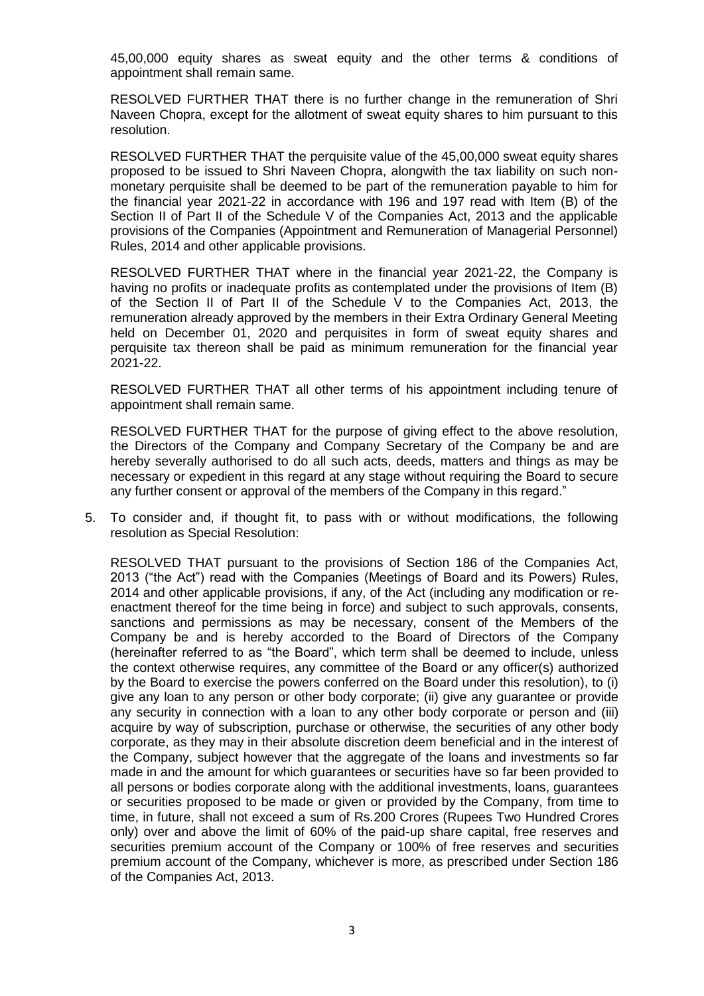45,00,000 equity shares as sweat equity and the other terms & conditions of appointment shall remain same.

RESOLVED FURTHER THAT there is no further change in the remuneration of Shri Naveen Chopra, except for the allotment of sweat equity shares to him pursuant to this resolution.

RESOLVED FURTHER THAT the perquisite value of the 45,00,000 sweat equity shares proposed to be issued to Shri Naveen Chopra, alongwith the tax liability on such nonmonetary perquisite shall be deemed to be part of the remuneration payable to him for the financial year 2021-22 in accordance with 196 and 197 read with Item (B) of the Section II of Part II of the Schedule V of the Companies Act, 2013 and the applicable provisions of the Companies (Appointment and Remuneration of Managerial Personnel) Rules, 2014 and other applicable provisions.

RESOLVED FURTHER THAT where in the financial year 2021-22, the Company is having no profits or inadequate profits as contemplated under the provisions of Item (B) of the Section II of Part II of the Schedule V to the Companies Act, 2013, the remuneration already approved by the members in their Extra Ordinary General Meeting held on December 01, 2020 and perquisites in form of sweat equity shares and perquisite tax thereon shall be paid as minimum remuneration for the financial year 2021-22.

RESOLVED FURTHER THAT all other terms of his appointment including tenure of appointment shall remain same.

RESOLVED FURTHER THAT for the purpose of giving effect to the above resolution, the Directors of the Company and Company Secretary of the Company be and are hereby severally authorised to do all such acts, deeds, matters and things as may be necessary or expedient in this regard at any stage without requiring the Board to secure any further consent or approval of the members of the Company in this regard."

5. To consider and, if thought fit, to pass with or without modifications, the following resolution as Special Resolution:

RESOLVED THAT pursuant to the provisions of Section 186 of the Companies Act, 2013 ("the Act") read with the Companies (Meetings of Board and its Powers) Rules, 2014 and other applicable provisions, if any, of the Act (including any modification or reenactment thereof for the time being in force) and subject to such approvals, consents, sanctions and permissions as may be necessary, consent of the Members of the Company be and is hereby accorded to the Board of Directors of the Company (hereinafter referred to as "the Board", which term shall be deemed to include, unless the context otherwise requires, any committee of the Board or any officer(s) authorized by the Board to exercise the powers conferred on the Board under this resolution), to (i) give any loan to any person or other body corporate; (ii) give any guarantee or provide any security in connection with a loan to any other body corporate or person and (iii) acquire by way of subscription, purchase or otherwise, the securities of any other body corporate, as they may in their absolute discretion deem beneficial and in the interest of the Company, subject however that the aggregate of the loans and investments so far made in and the amount for which guarantees or securities have so far been provided to all persons or bodies corporate along with the additional investments, loans, guarantees or securities proposed to be made or given or provided by the Company, from time to time, in future, shall not exceed a sum of Rs.200 Crores (Rupees Two Hundred Crores only) over and above the limit of 60% of the paid-up share capital, free reserves and securities premium account of the Company or 100% of free reserves and securities premium account of the Company, whichever is more, as prescribed under Section 186 of the Companies Act, 2013.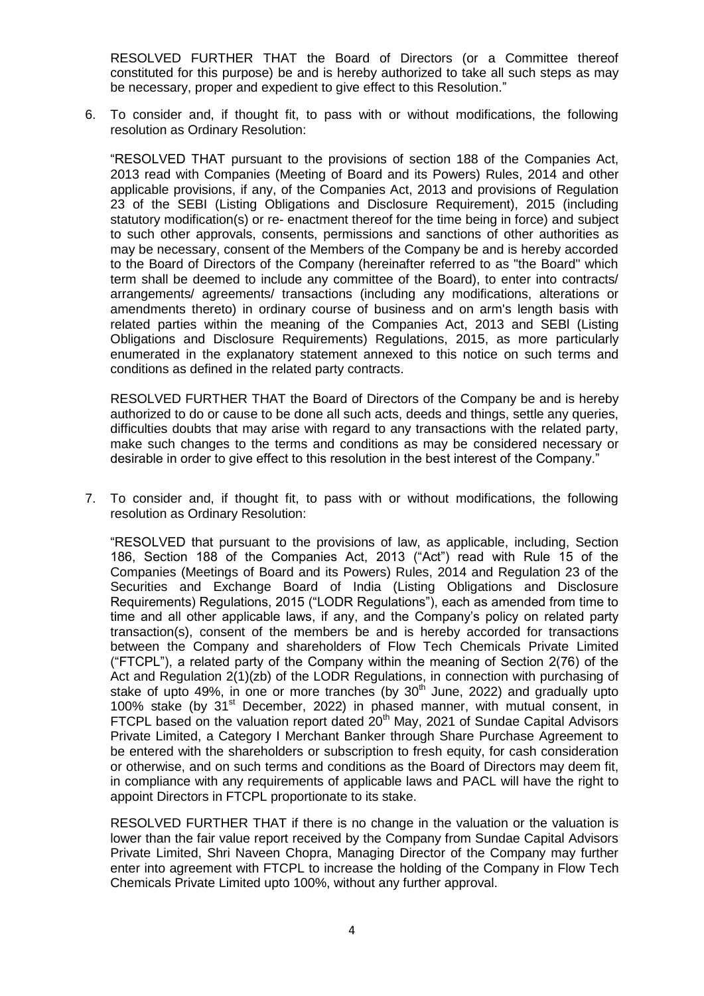RESOLVED FURTHER THAT the Board of Directors (or a Committee thereof constituted for this purpose) be and is hereby authorized to take all such steps as may be necessary, proper and expedient to give effect to this Resolution."

6. To consider and, if thought fit, to pass with or without modifications, the following resolution as Ordinary Resolution:

"RESOLVED THAT pursuant to the provisions of section 188 of the Companies Act, 2013 read with Companies (Meeting of Board and its Powers) Rules, 2014 and other applicable provisions, if any, of the Companies Act, 2013 and provisions of Regulation 23 of the SEBI (Listing Obligations and Disclosure Requirement), 2015 (including statutory modification(s) or re- enactment thereof for the time being in force) and subject to such other approvals, consents, permissions and sanctions of other authorities as may be necessary, consent of the Members of the Company be and is hereby accorded to the Board of Directors of the Company (hereinafter referred to as "the Board" which term shall be deemed to include any committee of the Board), to enter into contracts/ arrangements/ agreements/ transactions (including any modifications, alterations or amendments thereto) in ordinary course of business and on arm's length basis with related parties within the meaning of the Companies Act, 2013 and SEBl (Listing Obligations and Disclosure Requirements) Regulations, 2015, as more particularly enumerated in the explanatory statement annexed to this notice on such terms and conditions as defined in the related party contracts.

RESOLVED FURTHER THAT the Board of Directors of the Company be and is hereby authorized to do or cause to be done all such acts, deeds and things, settle any queries, difficulties doubts that may arise with regard to any transactions with the related party, make such changes to the terms and conditions as may be considered necessary or desirable in order to give effect to this resolution in the best interest of the Company."

7. To consider and, if thought fit, to pass with or without modifications, the following resolution as Ordinary Resolution:

"RESOLVED that pursuant to the provisions of law, as applicable, including, Section 186, Section 188 of the Companies Act, 2013 ("Act") read with Rule 15 of the Companies (Meetings of Board and its Powers) Rules, 2014 and Regulation 23 of the Securities and Exchange Board of India (Listing Obligations and Disclosure Requirements) Regulations, 2015 ("LODR Regulations"), each as amended from time to time and all other applicable laws, if any, and the Company"s policy on related party transaction(s), consent of the members be and is hereby accorded for transactions between the Company and shareholders of Flow Tech Chemicals Private Limited ("FTCPL"), a related party of the Company within the meaning of Section 2(76) of the Act and Regulation 2(1)(zb) of the LODR Regulations, in connection with purchasing of stake of upto 49%, in one or more tranches (by  $30<sup>th</sup>$  June, 2022) and gradually upto 100% stake (by 31st December, 2022) in phased manner, with mutual consent, in FTCPL based on the valuation report dated  $20<sup>th</sup>$  May, 2021 of Sundae Capital Advisors Private Limited, a Category I Merchant Banker through Share Purchase Agreement to be entered with the shareholders or subscription to fresh equity, for cash consideration or otherwise, and on such terms and conditions as the Board of Directors may deem fit, in compliance with any requirements of applicable laws and PACL will have the right to appoint Directors in FTCPL proportionate to its stake.

RESOLVED FURTHER THAT if there is no change in the valuation or the valuation is lower than the fair value report received by the Company from Sundae Capital Advisors Private Limited, Shri Naveen Chopra, Managing Director of the Company may further enter into agreement with FTCPL to increase the holding of the Company in Flow Tech Chemicals Private Limited upto 100%, without any further approval.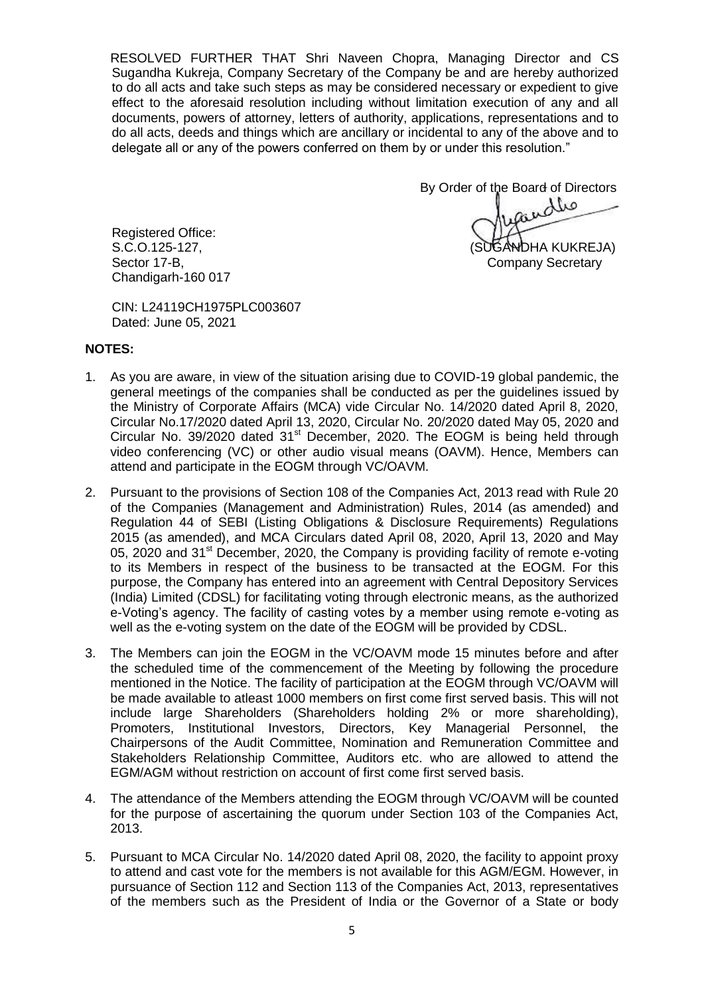RESOLVED FURTHER THAT Shri Naveen Chopra, Managing Director and CS Sugandha Kukreja, Company Secretary of the Company be and are hereby authorized to do all acts and take such steps as may be considered necessary or expedient to give effect to the aforesaid resolution including without limitation execution of any and all documents, powers of attorney, letters of authority, applications, representations and to do all acts, deeds and things which are ancillary or incidental to any of the above and to delegate all or any of the powers conferred on them by or under this resolution."

By Order of the Board of Directors<br>مطلمین S.C.O.125-127, (SUGANDHA KUKREJA)

Registered Office: Sector 17-B, Company Secretary Company Secretary Chandigarh-160 017

CIN: L24119CH1975PLC003607 Dated: June 05, 2021

#### **NOTES:**

- 1. As you are aware, in view of the situation arising due to COVID-19 global pandemic, the general meetings of the companies shall be conducted as per the guidelines issued by the Ministry of Corporate Affairs (MCA) vide Circular No. 14/2020 dated April 8, 2020, Circular No.17/2020 dated April 13, 2020, Circular No. 20/2020 dated May 05, 2020 and Circular No. 39/2020 dated 31<sup>st</sup> December, 2020. The EOGM is being held through video conferencing (VC) or other audio visual means (OAVM). Hence, Members can attend and participate in the EOGM through VC/OAVM.
- 2. Pursuant to the provisions of Section 108 of the Companies Act, 2013 read with Rule 20 of the Companies (Management and Administration) Rules, 2014 (as amended) and Regulation 44 of SEBI (Listing Obligations & Disclosure Requirements) Regulations 2015 (as amended), and MCA Circulars dated April 08, 2020, April 13, 2020 and May 05, 2020 and 31<sup>st</sup> December, 2020, the Company is providing facility of remote e-voting to its Members in respect of the business to be transacted at the EOGM. For this purpose, the Company has entered into an agreement with Central Depository Services (India) Limited (CDSL) for facilitating voting through electronic means, as the authorized e-Voting"s agency. The facility of casting votes by a member using remote e-voting as well as the e-voting system on the date of the EOGM will be provided by CDSL.
- 3. The Members can join the EOGM in the VC/OAVM mode 15 minutes before and after the scheduled time of the commencement of the Meeting by following the procedure mentioned in the Notice. The facility of participation at the EOGM through VC/OAVM will be made available to atleast 1000 members on first come first served basis. This will not include large Shareholders (Shareholders holding 2% or more shareholding), Promoters, Institutional Investors, Directors, Key Managerial Personnel, the Chairpersons of the Audit Committee, Nomination and Remuneration Committee and Stakeholders Relationship Committee, Auditors etc. who are allowed to attend the EGM/AGM without restriction on account of first come first served basis.
- 4. The attendance of the Members attending the EOGM through VC/OAVM will be counted for the purpose of ascertaining the quorum under Section 103 of the Companies Act, 2013.
- 5. Pursuant to MCA Circular No. 14/2020 dated April 08, 2020, the facility to appoint proxy to attend and cast vote for the members is not available for this AGM/EGM. However, in pursuance of Section 112 and Section 113 of the Companies Act, 2013, representatives of the members such as the President of India or the Governor of a State or body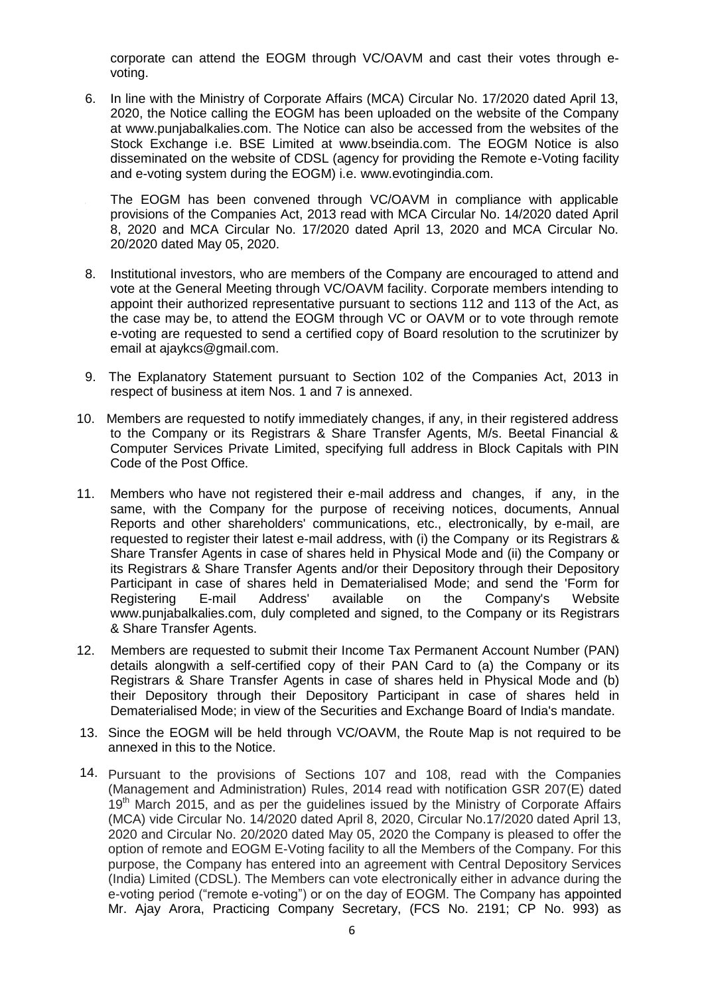corporate can attend the EOGM through VC/OAVM and cast their votes through evoting.

6. In line with the Ministry of Corporate Affairs (MCA) Circular No. 17/2020 dated April 13, 2020, the Notice calling the EOGM has been uploaded on the website of the Company at www.punjabalkalies.com. The Notice can also be accessed from the websites of the Stock Exchange i.e. BSE Limited at www.bseindia.com. The EOGM Notice is also disseminated on the website of CDSL (agency for providing the Remote e-Voting facility and e-voting system during the EOGM) i.e. www.evotingindia.com.

The EOGM has been convened through VC/OAVM in compliance with applicable provisions of the Companies Act, 2013 read with MCA Circular No. 14/2020 dated April 8, 2020 and MCA Circular No. 17/2020 dated April 13, 2020 and MCA Circular No. 20/2020 dated May 05, 2020.

- 8. Institutional investors, who are members of the Company are encouraged to attend and vote at the General Meeting through VC/OAVM facility. Corporate members intending to appoint their authorized representative pursuant to sections 112 and 113 of the Act, as the case may be, to attend the EOGM through VC or OAVM or to vote through remote e-voting are requested to send a certified copy of Board resolution to the scrutinizer by email at ajaykcs@gmail.com.
- 9. The Explanatory Statement pursuant to Section 102 of the Companies Act, 2013 in respect of business at item Nos. 1 and 7 is annexed.
- 10. Members are requested to notify immediately changes, if any, in their registered address to the Company or its Registrars & Share Transfer Agents, M/s. Beetal Financial & Computer Services Private Limited, specifying full address in Block Capitals with PIN Code of the Post Office.
- 11. Members who have not registered their e-mail address and changes, if any, in the same, with the Company for the purpose of receiving notices, documents, Annual Reports and other shareholders' communications, etc., electronically, by e-mail, are requested to register their latest e-mail address, with (i) the Company or its Registrars & Share Transfer Agents in case of shares held in Physical Mode and (ii) the Company or its Registrars & Share Transfer Agents and/or their Depository through their Depository Participant in case of shares held in Dematerialised Mode; and send the 'Form for Registering E-mail Address' available on the Company's Website www.punjabalkalies.com, duly completed and signed, to the Company or its Registrars & Share Transfer Agents.
- 12. Members are requested to submit their Income Tax Permanent Account Number (PAN) details alongwith a self-certified copy of their PAN Card to (a) the Company or its Registrars & Share Transfer Agents in case of shares held in Physical Mode and (b) their Depository through their Depository Participant in case of shares held in Dematerialised Mode; in view of the Securities and Exchange Board of India's mandate.
- 13. Since the EOGM will be held through VC/OAVM, the Route Map is not required to be annexed in this to the Notice.
- 14. Pursuant to the provisions of Sections 107 and 108, read with the Companies (Management and Administration) Rules, 2014 read with notification GSR 207(E) dated 19<sup>th</sup> March 2015, and as per the guidelines issued by the Ministry of Corporate Affairs (MCA) vide Circular No. 14/2020 dated April 8, 2020, Circular No.17/2020 dated April 13, 2020 and Circular No. 20/2020 dated May 05, 2020 the Company is pleased to offer the option of remote and EOGM E-Voting facility to all the Members of the Company. For this purpose, the Company has entered into an agreement with Central Depository Services (India) Limited (CDSL). The Members can vote electronically either in advance during the e-voting period ("remote e-voting") or on the day of EOGM. The Company has appointed Mr. Ajay Arora, Practicing Company Secretary, (FCS No. 2191; CP No. 993) as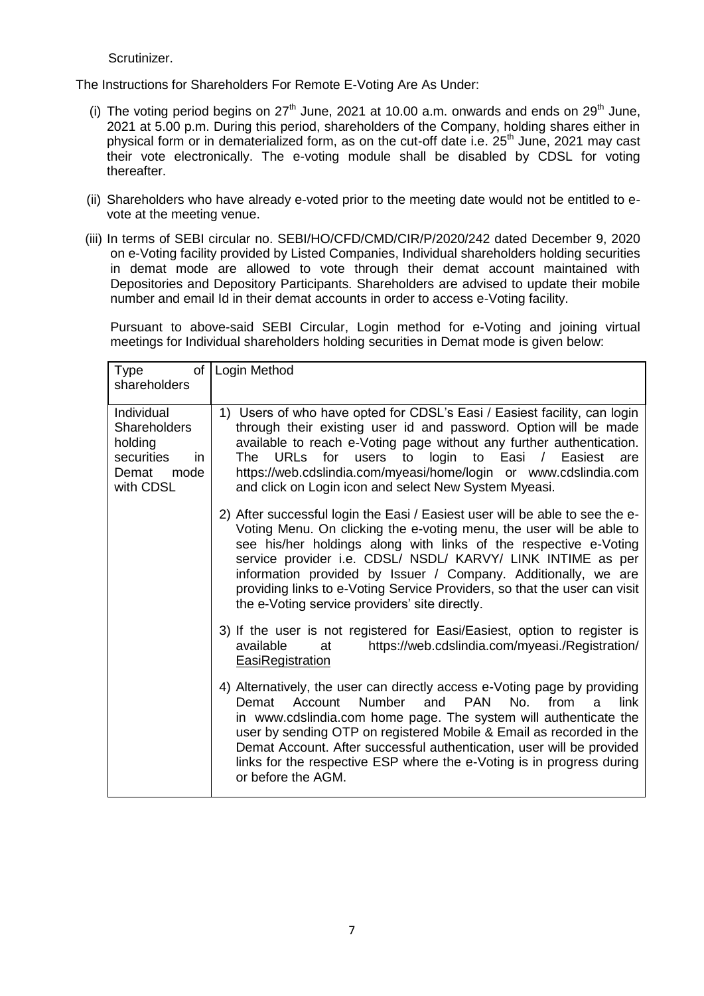Scrutinizer.

The Instructions for Shareholders For Remote E-Voting Are As Under:

- (i) The voting period begins on  $27<sup>th</sup>$  June, 2021 at 10.00 a.m. onwards and ends on  $29<sup>th</sup>$  June, 2021 at 5.00 p.m. During this period, shareholders of the Company, holding shares either in physical form or in dematerialized form, as on the cut-off date i.e. 25<sup>th</sup> June, 2021 may cast their vote electronically. The e-voting module shall be disabled by CDSL for voting thereafter.
- (ii) Shareholders who have already e-voted prior to the meeting date would not be entitled to evote at the meeting venue.
- (iii) In terms of SEBI circular no. SEBI/HO/CFD/CMD/CIR/P/2020/242 dated December 9, 2020 on e-Voting facility provided by Listed Companies, Individual shareholders holding securities in demat mode are allowed to vote through their demat account maintained with Depositories and Depository Participants. Shareholders are advised to update their mobile number and email Id in their demat accounts in order to access e-Voting facility.

Pursuant to above-said SEBI Circular, Login method for e-Voting and joining virtual meetings for Individual shareholders holding securities in Demat mode is given below:

| of<br><b>Type</b><br>shareholders                                                               | Login Method                                                                                                                                                                                                                                                                                                                                                                                                                                                                             |
|-------------------------------------------------------------------------------------------------|------------------------------------------------------------------------------------------------------------------------------------------------------------------------------------------------------------------------------------------------------------------------------------------------------------------------------------------------------------------------------------------------------------------------------------------------------------------------------------------|
| Individual<br><b>Shareholders</b><br>holding<br>securities<br>in.<br>Demat<br>mode<br>with CDSL | 1) Users of who have opted for CDSL's Easi / Easiest facility, can login<br>through their existing user id and password. Option will be made<br>available to reach e-Voting page without any further authentication.<br>The URLs for users to login to Easi / Easiest<br>are<br>https://web.cdslindia.com/myeasi/home/login or www.cdslindia.com<br>and click on Login icon and select New System Myeasi.                                                                                |
|                                                                                                 | 2) After successful login the Easi / Easiest user will be able to see the e-<br>Voting Menu. On clicking the e-voting menu, the user will be able to<br>see his/her holdings along with links of the respective e-Voting<br>service provider i.e. CDSL/ NSDL/ KARVY/ LINK INTIME as per<br>information provided by Issuer / Company. Additionally, we are<br>providing links to e-Voting Service Providers, so that the user can visit<br>the e-Voting service providers' site directly. |
|                                                                                                 | 3) If the user is not registered for Easi/Easiest, option to register is<br>https://web.cdslindia.com/myeasi./Registration/<br>available<br>at<br><b>EasiRegistration</b>                                                                                                                                                                                                                                                                                                                |
|                                                                                                 | 4) Alternatively, the user can directly access e-Voting page by providing<br><b>PAN</b><br>No.<br>link<br>Number<br>and<br>from<br>Demat<br>Account<br>$\mathbf{a}$<br>in www.cdslindia.com home page. The system will authenticate the<br>user by sending OTP on registered Mobile & Email as recorded in the<br>Demat Account. After successful authentication, user will be provided<br>links for the respective ESP where the e-Voting is in progress during<br>or before the AGM.   |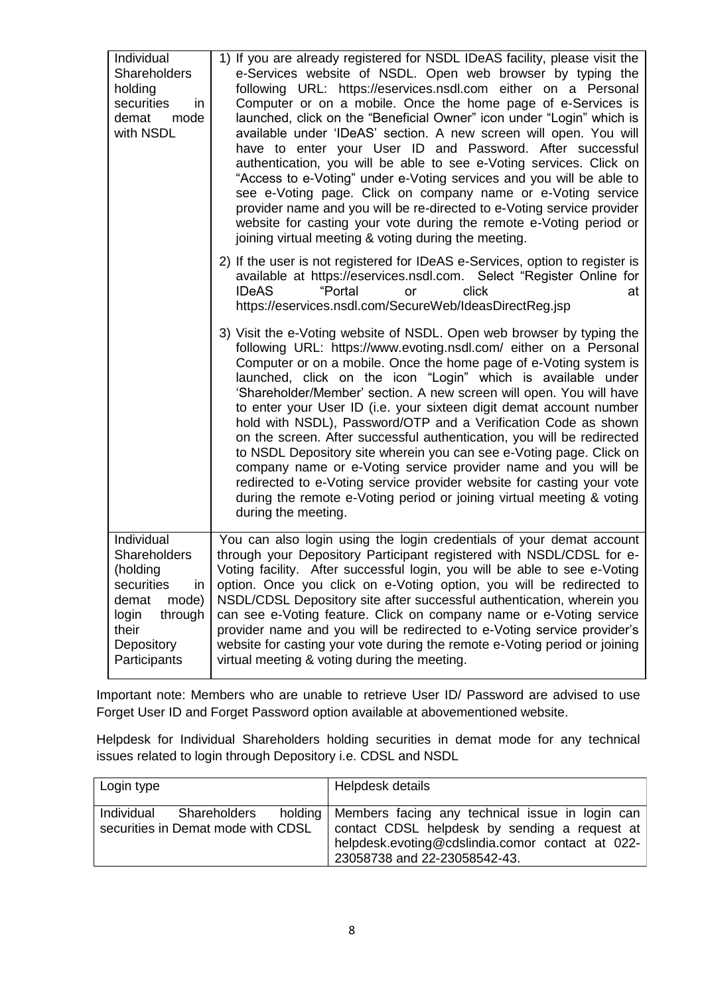| Individual<br><b>Shareholders</b><br>holding<br>securities<br>in.<br>demat<br>mode<br>with NSDL                                                | 1) If you are already registered for NSDL IDeAS facility, please visit the<br>e-Services website of NSDL. Open web browser by typing the<br>following URL: https://eservices.nsdl.com either on a Personal<br>Computer or on a mobile. Once the home page of e-Services is<br>launched, click on the "Beneficial Owner" icon under "Login" which is<br>available under 'IDeAS' section. A new screen will open. You will<br>have to enter your User ID and Password. After successful<br>authentication, you will be able to see e-Voting services. Click on<br>"Access to e-Voting" under e-Voting services and you will be able to<br>see e-Voting page. Click on company name or e-Voting service<br>provider name and you will be re-directed to e-Voting service provider<br>website for casting your vote during the remote e-Voting period or<br>joining virtual meeting & voting during the meeting. |
|------------------------------------------------------------------------------------------------------------------------------------------------|--------------------------------------------------------------------------------------------------------------------------------------------------------------------------------------------------------------------------------------------------------------------------------------------------------------------------------------------------------------------------------------------------------------------------------------------------------------------------------------------------------------------------------------------------------------------------------------------------------------------------------------------------------------------------------------------------------------------------------------------------------------------------------------------------------------------------------------------------------------------------------------------------------------|
|                                                                                                                                                | 2) If the user is not registered for IDeAS e-Services, option to register is<br>available at https://eservices.nsdl.com. Select "Register Online for<br><b>IDeAS</b><br>"Portal<br>click<br>at<br>or<br>https://eservices.nsdl.com/SecureWeb/IdeasDirectReg.jsp                                                                                                                                                                                                                                                                                                                                                                                                                                                                                                                                                                                                                                              |
|                                                                                                                                                | 3) Visit the e-Voting website of NSDL. Open web browser by typing the<br>following URL: https://www.evoting.nsdl.com/ either on a Personal<br>Computer or on a mobile. Once the home page of e-Voting system is<br>launched, click on the icon "Login" which is available under<br>'Shareholder/Member' section. A new screen will open. You will have<br>to enter your User ID (i.e. your sixteen digit demat account number<br>hold with NSDL), Password/OTP and a Verification Code as shown<br>on the screen. After successful authentication, you will be redirected<br>to NSDL Depository site wherein you can see e-Voting page. Click on<br>company name or e-Voting service provider name and you will be<br>redirected to e-Voting service provider website for casting your vote<br>during the remote e-Voting period or joining virtual meeting & voting<br>during the meeting.                  |
| Individual<br><b>Shareholders</b><br>(holding<br>securities<br>in<br>mode)<br>demat<br>login<br>through<br>their<br>Depository<br>Participants | You can also login using the login credentials of your demat account<br>through your Depository Participant registered with NSDL/CDSL for e-<br>Voting facility. After successful login, you will be able to see e-Voting<br>option. Once you click on e-Voting option, you will be redirected to<br>NSDL/CDSL Depository site after successful authentication, wherein you<br>can see e-Voting feature. Click on company name or e-Voting service<br>provider name and you will be redirected to e-Voting service provider's<br>website for casting your vote during the remote e-Voting period or joining<br>virtual meeting & voting during the meeting.                                                                                                                                                                                                                                                  |

Important note: Members who are unable to retrieve User ID/ Password are advised to use Forget User ID and Forget Password option available at abovementioned website.

Helpdesk for Individual Shareholders holding securities in demat mode for any technical issues related to login through Depository i.e. CDSL and NSDL

| Login type |                                                               | Helpdesk details                                                                                                                                                                               |
|------------|---------------------------------------------------------------|------------------------------------------------------------------------------------------------------------------------------------------------------------------------------------------------|
|            | Individual Shareholders<br>securities in Demat mode with CDSL | holding   Members facing any technical issue in login can<br>contact CDSL helpdesk by sending a request at<br>helpdesk.evoting@cdslindia.comor contact at 022-<br>23058738 and 22-23058542-43. |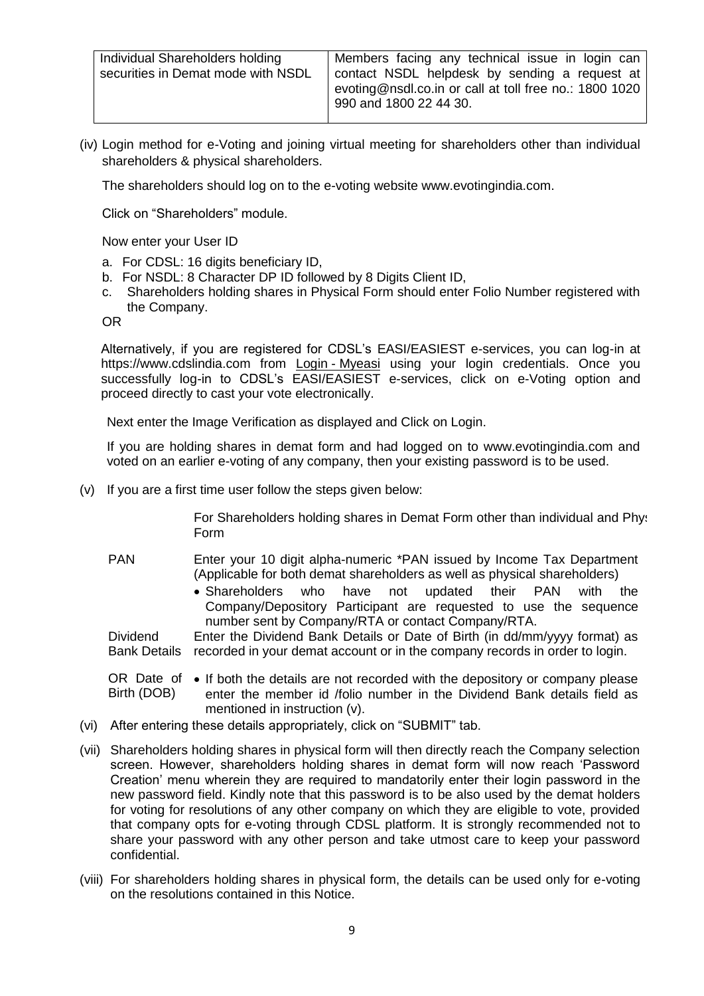| Individual Shareholders holding    | Members facing any technical issue in login can        |
|------------------------------------|--------------------------------------------------------|
| securities in Demat mode with NSDL | contact NSDL helpdesk by sending a request at          |
|                                    | evoting@nsdl.co.in or call at toll free no.: 1800 1020 |
|                                    | 990 and 1800 22 44 30.                                 |
|                                    |                                                        |

(iv) Login method for e-Voting and joining virtual meeting for shareholders other than individual shareholders & physical shareholders.

The shareholders should log on to the e-voting website www.evotingindia.com.

Click on "Shareholders" module.

Now enter your User ID

- a. For CDSL: 16 digits beneficiary ID,
- b. For NSDL: 8 Character DP ID followed by 8 Digits Client ID,
- Shareholders holding shares in Physical Form should enter Folio Number registered with the Company.

OR

Alternatively, if you are registered for CDSL"s EASI/EASIEST e-services, you can log-in at https://www.cdslindia.com from Login - [Myeasi](file:///C:/Users/Sugandha/Desktop/EOGM/Login - Myeasi) using your login credentials. Once you successfully log-in to CDSL's EASI/EASIEST e-services, click on e-Voting option and proceed directly to cast your vote electronically.

Next enter the Image Verification as displayed and Click on Login.

If you are holding shares in demat form and had logged on to www.evotingindia.com and voted on an earlier e-voting of any company, then your existing password is to be used.

(v) If you are a first time user follow the steps given below:

For Shareholders holding shares in Demat Form other than individual and Physt Form

- PAN Enter your 10 digit alpha-numeric \*PAN issued by Income Tax Department (Applicable for both demat shareholders as well as physical shareholders)
	- Shareholders who have not updated their PAN with the Company/Depository Participant are requested to use the sequence number sent by Company/RTA or contact Company/RTA.

**Dividend** Bank Details recorded in your demat account or in the company records in order to login. Enter the Dividend Bank Details or Date of Birth (in dd/mm/yyyy format) as

OR Date of  $\bullet$  If both the details are not recorded with the depository or company please Birth (DOB) enter the member id /folio number in the Dividend Bank details field as mentioned in instruction (v).

- (vi) After entering these details appropriately, click on "SUBMIT" tab.
- (vii) Shareholders holding shares in physical form will then directly reach the Company selection screen. However, shareholders holding shares in demat form will now reach "Password Creation" menu wherein they are required to mandatorily enter their login password in the new password field. Kindly note that this password is to be also used by the demat holders for voting for resolutions of any other company on which they are eligible to vote, provided that company opts for e-voting through CDSL platform. It is strongly recommended not to share your password with any other person and take utmost care to keep your password confidential.
- (viii) For shareholders holding shares in physical form, the details can be used only for e-voting on the resolutions contained in this Notice.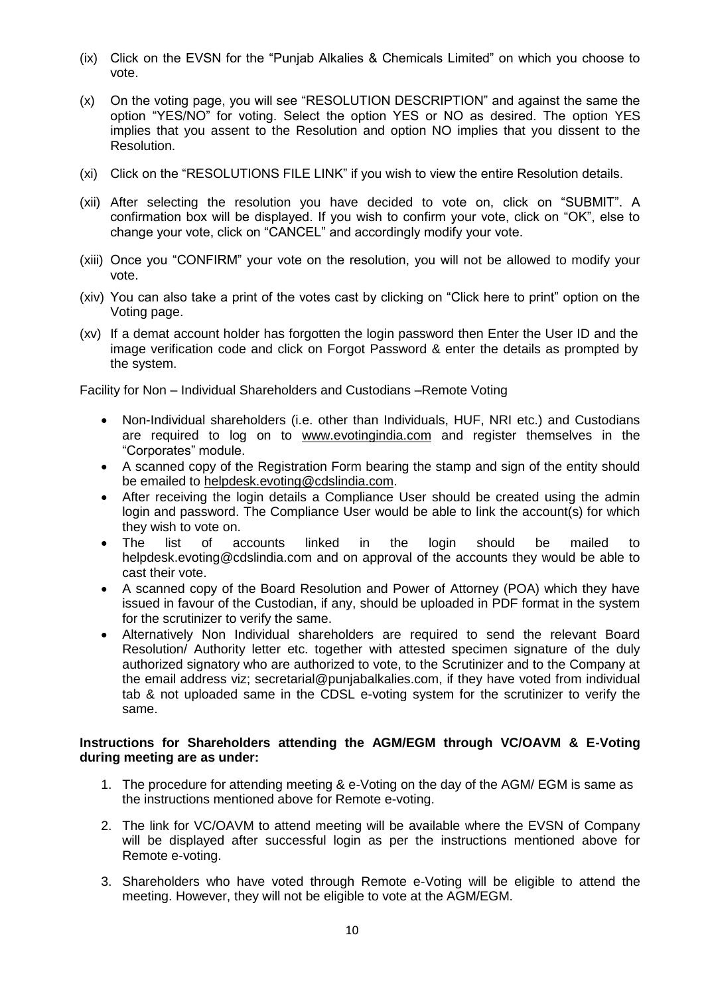- (ix) Click on the EVSN for the "Punjab Alkalies & Chemicals Limited" on which you choose to vote.
- (x) On the voting page, you will see "RESOLUTION DESCRIPTION" and against the same the option "YES/NO" for voting. Select the option YES or NO as desired. The option YES implies that you assent to the Resolution and option NO implies that you dissent to the Resolution.
- (xi) Click on the "RESOLUTIONS FILE LINK" if you wish to view the entire Resolution details.
- (xii) After selecting the resolution you have decided to vote on, click on "SUBMIT". A confirmation box will be displayed. If you wish to confirm your vote, click on "OK", else to change your vote, click on "CANCEL" and accordingly modify your vote.
- (xiii) Once you "CONFIRM" your vote on the resolution, you will not be allowed to modify your vote.
- (xiv) You can also take a print of the votes cast by clicking on "Click here to print" option on the Voting page.
- (xv) If a demat account holder has forgotten the login password then Enter the User ID and the image verification code and click on Forgot Password & enter the details as prompted by the system.

Facility for Non – Individual Shareholders and Custodians –Remote Voting

- Non-Individual shareholders (i.e. other than Individuals, HUF, NRI etc.) and Custodians are required to log on to [www.evotingindia.com](http://www.evotingindia.com/) and register themselves in the "Corporates" module.
- A scanned copy of the Registration Form bearing the stamp and sign of the entity should be emailed to [helpdesk.evoting@cdslindia.com.](mailto:helpdesk.evoting@cdslindia.com)
- After receiving the login details a Compliance User should be created using the admin login and password. The Compliance User would be able to link the account(s) for which they wish to vote on.
- The list of accounts linked in the login should be mailed to helpdesk.evoting@cdslindia.com and on approval of the accounts they would be able to cast their vote.
- A scanned copy of the Board Resolution and Power of Attorney (POA) which they have issued in favour of the Custodian, if any, should be uploaded in PDF format in the system for the scrutinizer to verify the same.
- Alternatively Non Individual shareholders are required to send the relevant Board Resolution/ Authority letter etc. together with attested specimen signature of the duly authorized signatory who are authorized to vote, to the Scrutinizer and to the Company at the email address viz; secretarial@punjabalkalies.com, if they have voted from individual tab & not uploaded same in the CDSL e-voting system for the scrutinizer to verify the same.

#### **Instructions for Shareholders attending the AGM/EGM through VC/OAVM & E-Voting during meeting are as under:**

- 1. The procedure for attending meeting & e-Voting on the day of the AGM/ EGM is same as the instructions mentioned above for Remote e-voting.
- 2. The link for VC/OAVM to attend meeting will be available where the EVSN of Company will be displayed after successful login as per the instructions mentioned above for Remote e-voting.
- 3. Shareholders who have voted through Remote e-Voting will be eligible to attend the meeting. However, they will not be eligible to vote at the AGM/EGM.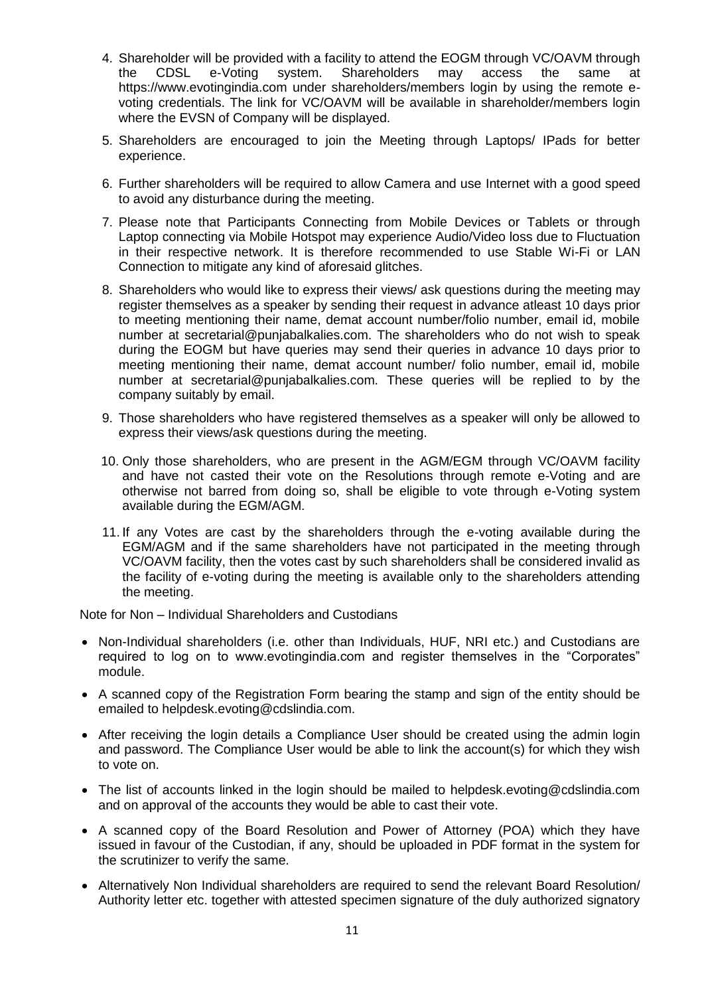- 4. Shareholder will be provided with a facility to attend the EOGM through VC/OAVM through the CDSL e-Voting system. Shareholders may access the same at https://www.evotingindia.com under shareholders/members login by using the remote evoting credentials. The link for VC/OAVM will be available in shareholder/members login where the EVSN of Company will be displayed.
- 5. Shareholders are encouraged to join the Meeting through Laptops/ IPads for better experience.
- 6. Further shareholders will be required to allow Camera and use Internet with a good speed to avoid any disturbance during the meeting.
- 7. Please note that Participants Connecting from Mobile Devices or Tablets or through Laptop connecting via Mobile Hotspot may experience Audio/Video loss due to Fluctuation in their respective network. It is therefore recommended to use Stable Wi-Fi or LAN Connection to mitigate any kind of aforesaid glitches.
- 8. Shareholders who would like to express their views/ ask questions during the meeting may register themselves as a speaker by sending their request in advance atleast 10 days prior to meeting mentioning their name, demat account number/folio number, email id, mobile number at secretarial@punjabalkalies.com. The shareholders who do not wish to speak during the EOGM but have queries may send their queries in advance 10 days prior to meeting mentioning their name, demat account number/ folio number, email id, mobile number at secretarial@punjabalkalies.com. These queries will be replied to by the company suitably by email.
- 9. Those shareholders who have registered themselves as a speaker will only be allowed to express their views/ask questions during the meeting.
- 10. Only those shareholders, who are present in the AGM/EGM through VC/OAVM facility and have not casted their vote on the Resolutions through remote e-Voting and are otherwise not barred from doing so, shall be eligible to vote through e-Voting system available during the EGM/AGM.
- 11. If any Votes are cast by the shareholders through the e-voting available during the EGM/AGM and if the same shareholders have not participated in the meeting through VC/OAVM facility, then the votes cast by such shareholders shall be considered invalid as the facility of e-voting during the meeting is available only to the shareholders attending the meeting.

Note for Non – Individual Shareholders and Custodians

- Non-Individual shareholders (i.e. other than Individuals, HUF, NRI etc.) and Custodians are required to log on to www.evotingindia.com and register themselves in the "Corporates" module.
- A scanned copy of the Registration Form bearing the stamp and sign of the entity should be emailed to helpdesk.evoting@cdslindia.com.
- After receiving the login details a Compliance User should be created using the admin login and password. The Compliance User would be able to link the account(s) for which they wish to vote on.
- The list of accounts linked in the login should be mailed to helpdesk.evoting@cdslindia.com and on approval of the accounts they would be able to cast their vote.
- A scanned copy of the Board Resolution and Power of Attorney (POA) which they have issued in favour of the Custodian, if any, should be uploaded in PDF format in the system for the scrutinizer to verify the same.
- Alternatively Non Individual shareholders are required to send the relevant Board Resolution/ Authority letter etc. together with attested specimen signature of the duly authorized signatory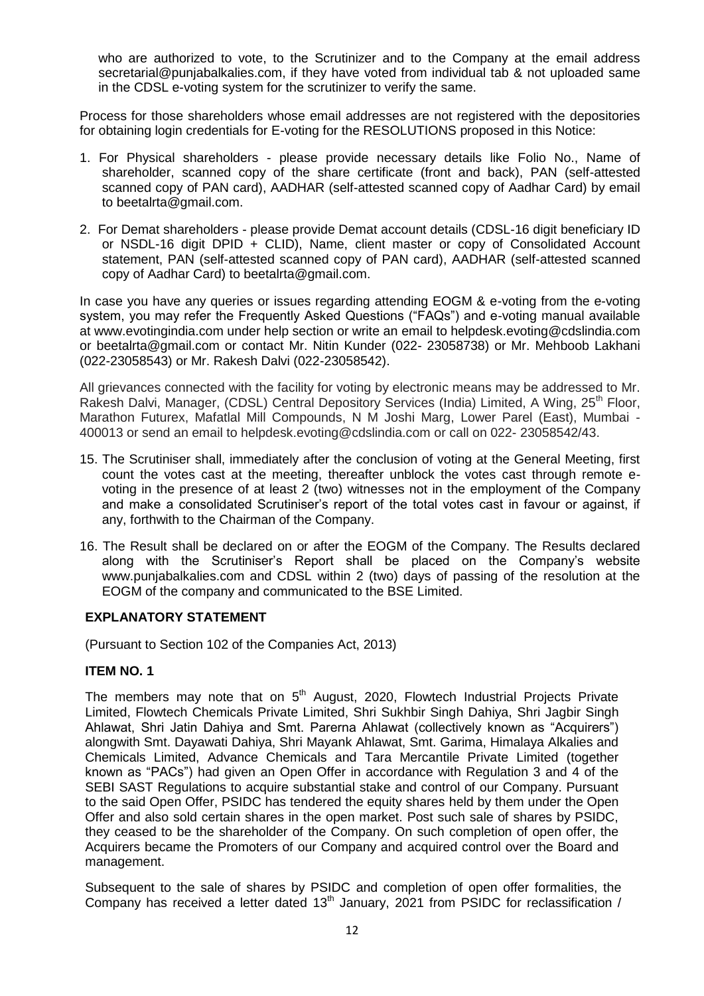who are authorized to vote, to the Scrutinizer and to the Company at the email address secretarial@punjabalkalies.com, if they have voted from individual tab & not uploaded same in the CDSL e-voting system for the scrutinizer to verify the same.

Process for those shareholders whose email addresses are not registered with the depositories for obtaining login credentials for E-voting for the RESOLUTIONS proposed in this Notice:

- 1. For Physical shareholders please provide necessary details like Folio No., Name of shareholder, scanned copy of the share certificate (front and back), PAN (self-attested scanned copy of PAN card), AADHAR (self-attested scanned copy of Aadhar Card) by email to beetalrta@gmail.com.
- 2. For Demat shareholders please provide Demat account details (CDSL-16 digit beneficiary ID or NSDL-16 digit DPID + CLID), Name, client master or copy of Consolidated Account statement, PAN (self-attested scanned copy of PAN card), AADHAR (self-attested scanned copy of Aadhar Card) to beetalrta@gmail.com.

In case you have any queries or issues regarding attending EOGM & e-voting from the e-voting system, you may refer the Frequently Asked Questions ("FAQs") and e-voting manual available at www.evotingindia.com under help section or write an email to helpdesk.evoting@cdslindia.com or beetalrta@gmail.com or contact Mr. Nitin Kunder (022- 23058738) or Mr. Mehboob Lakhani (022-23058543) or Mr. Rakesh Dalvi (022-23058542).

All grievances connected with the facility for voting by electronic means may be addressed to Mr. Rakesh Dalvi, Manager, (CDSL) Central Depository Services (India) Limited, A Wing, 25<sup>th</sup> Floor, Marathon Futurex, Mafatlal Mill Compounds, N M Joshi Marg, Lower Parel (East), Mumbai - 400013 or send an email to helpdesk.evoting@cdslindia.com or call on 022- 23058542/43.

- 15. The Scrutiniser shall, immediately after the conclusion of voting at the General Meeting, first count the votes cast at the meeting, thereafter unblock the votes cast through remote evoting in the presence of at least 2 (two) witnesses not in the employment of the Company and make a consolidated Scrutiniser"s report of the total votes cast in favour or against, if any, forthwith to the Chairman of the Company.
- 16. The Result shall be declared on or after the EOGM of the Company. The Results declared along with the Scrutiniser's Report shall be placed on the Company's website www.punjabalkalies.com and CDSL within 2 (two) days of passing of the resolution at the EOGM of the company and communicated to the BSE Limited.

## **EXPLANATORY STATEMENT**

(Pursuant to Section 102 of the Companies Act, 2013)

## **ITEM NO. 1**

The members may note that on  $5<sup>th</sup>$  August, 2020, Flowtech Industrial Projects Private Limited, Flowtech Chemicals Private Limited, Shri Sukhbir Singh Dahiya, Shri Jagbir Singh Ahlawat, Shri Jatin Dahiya and Smt. Parerna Ahlawat (collectively known as "Acquirers") alongwith Smt. Dayawati Dahiya, Shri Mayank Ahlawat, Smt. Garima, Himalaya Alkalies and Chemicals Limited, Advance Chemicals and Tara Mercantile Private Limited (together known as "PACs") had given an Open Offer in accordance with Regulation 3 and 4 of the SEBI SAST Regulations to acquire substantial stake and control of our Company. Pursuant to the said Open Offer, PSIDC has tendered the equity shares held by them under the Open Offer and also sold certain shares in the open market. Post such sale of shares by PSIDC, they ceased to be the shareholder of the Company. On such completion of open offer, the Acquirers became the Promoters of our Company and acquired control over the Board and management.

Subsequent to the sale of shares by PSIDC and completion of open offer formalities, the Company has received a letter dated 13<sup>th</sup> January, 2021 from PSIDC for reclassification /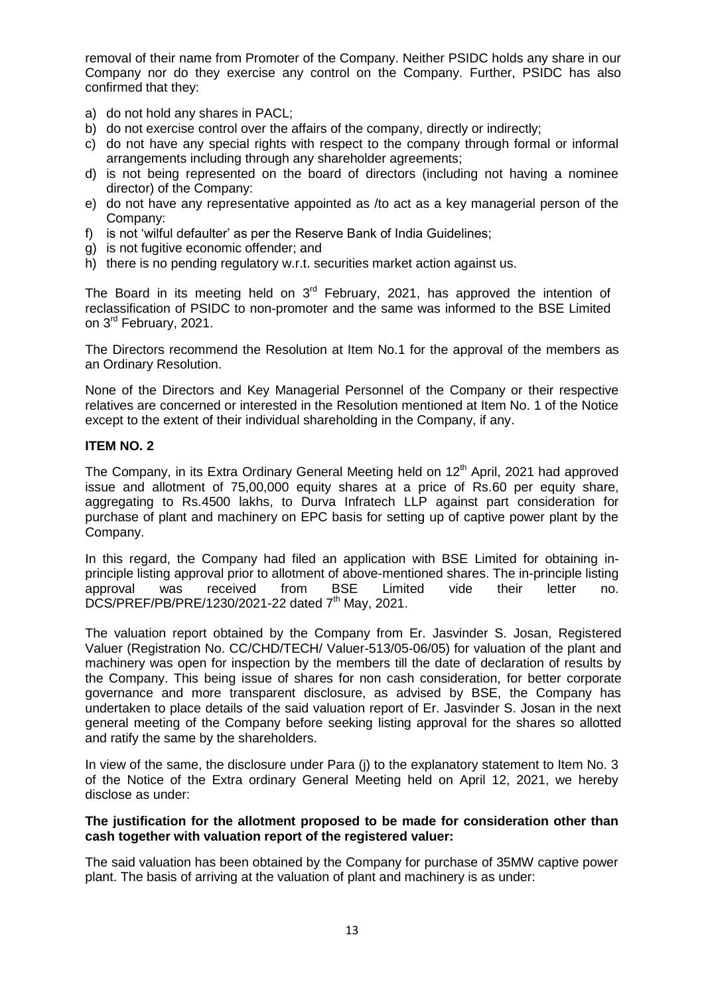removal of their name from Promoter of the Company. Neither PSIDC holds any share in our Company nor do they exercise any control on the Company. Further, PSIDC has also confirmed that they:

- a) do not hold any shares in PACL;
- b) do not exercise control over the affairs of the company, directly or indirectly;
- c) do not have any special rights with respect to the company through formal or informal arrangements including through any shareholder agreements;
- d) is not being represented on the board of directors (including not having a nominee director) of the Company:
- e) do not have any representative appointed as /to act as a key managerial person of the Company:
- f) is not "wilful defaulter" as per the Reserve Bank of India Guidelines;
- g) is not fugitive economic offender; and
- h) there is no pending regulatory w.r.t. securities market action against us.

The Board in its meeting held on  $3<sup>rd</sup>$  February, 2021, has approved the intention of reclassification of PSIDC to non-promoter and the same was informed to the BSE Limited on 3<sup>rd</sup> February, 2021.

The Directors recommend the Resolution at Item No.1 for the approval of the members as an Ordinary Resolution.

None of the Directors and Key Managerial Personnel of the Company or their respective relatives are concerned or interested in the Resolution mentioned at Item No. 1 of the Notice except to the extent of their individual shareholding in the Company, if any.

#### **ITEM NO. 2**

The Company, in its Extra Ordinary General Meeting held on 12<sup>th</sup> April, 2021 had approved issue and allotment of 75,00,000 equity shares at a price of Rs.60 per equity share, aggregating to Rs.4500 lakhs, to Durva Infratech LLP against part consideration for purchase of plant and machinery on EPC basis for setting up of captive power plant by the Company.

In this regard, the Company had filed an application with BSE Limited for obtaining inprinciple listing approval prior to allotment of above-mentioned shares. The in-principle listing approval was received from BSE Limited vide their letter no. DCS/PREF/PB/PRE/1230/2021-22 dated 7<sup>th</sup> May, 2021.

The valuation report obtained by the Company from Er. Jasvinder S. Josan, Registered Valuer (Registration No. CC/CHD/TECH/ Valuer-513/05-06/05) for valuation of the plant and machinery was open for inspection by the members till the date of declaration of results by the Company. This being issue of shares for non cash consideration, for better corporate governance and more transparent disclosure, as advised by BSE, the Company has undertaken to place details of the said valuation report of Er. Jasvinder S. Josan in the next general meeting of the Company before seeking listing approval for the shares so allotted and ratify the same by the shareholders.

In view of the same, the disclosure under Para (j) to the explanatory statement to Item No. 3 of the Notice of the Extra ordinary General Meeting held on April 12, 2021, we hereby disclose as under:

#### **The justification for the allotment proposed to be made for consideration other than cash together with valuation report of the registered valuer:**

The said valuation has been obtained by the Company for purchase of 35MW captive power plant. The basis of arriving at the valuation of plant and machinery is as under: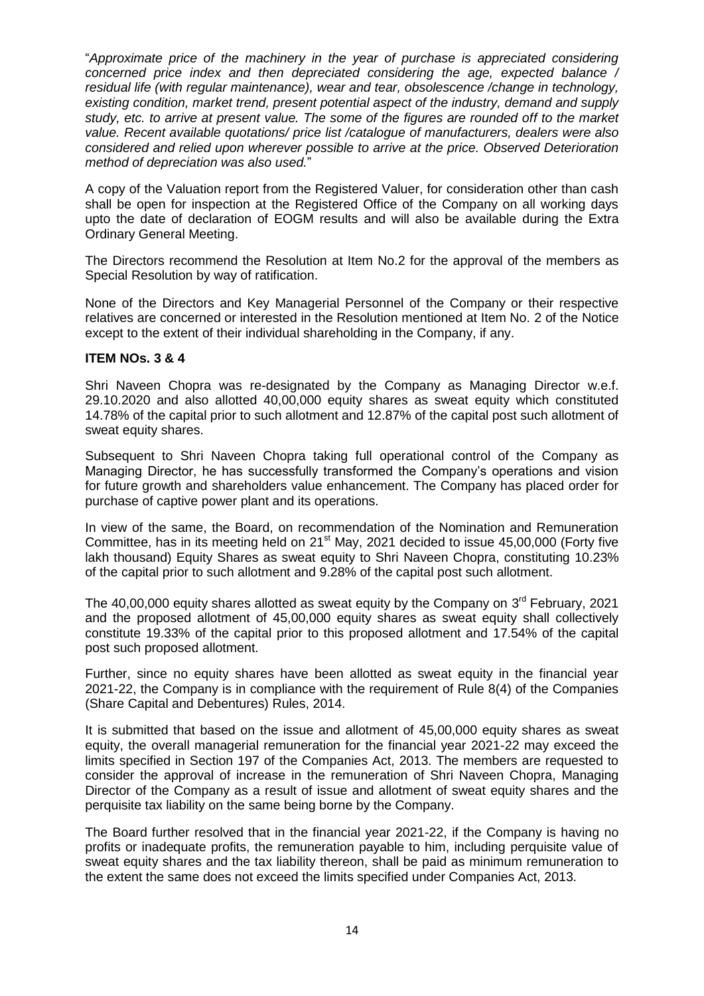"*Approximate price of the machinery in the year of purchase is appreciated considering concerned price index and then depreciated considering the age, expected balance / residual life (with regular maintenance), wear and tear, obsolescence /change in technology, existing condition, market trend, present potential aspect of the industry, demand and supply study, etc. to arrive at present value. The some of the figures are rounded off to the market value. Recent available quotations/ price list /catalogue of manufacturers, dealers were also considered and relied upon wherever possible to arrive at the price. Observed Deterioration method of depreciation was also used.*"

A copy of the Valuation report from the Registered Valuer, for consideration other than cash shall be open for inspection at the Registered Office of the Company on all working days upto the date of declaration of EOGM results and will also be available during the Extra Ordinary General Meeting.

The Directors recommend the Resolution at Item No.2 for the approval of the members as Special Resolution by way of ratification.

None of the Directors and Key Managerial Personnel of the Company or their respective relatives are concerned or interested in the Resolution mentioned at Item No. 2 of the Notice except to the extent of their individual shareholding in the Company, if any.

## **ITEM NOs. 3 & 4**

Shri Naveen Chopra was re-designated by the Company as Managing Director w.e.f. 29.10.2020 and also allotted 40,00,000 equity shares as sweat equity which constituted 14.78% of the capital prior to such allotment and 12.87% of the capital post such allotment of sweat equity shares.

Subsequent to Shri Naveen Chopra taking full operational control of the Company as Managing Director, he has successfully transformed the Company"s operations and vision for future growth and shareholders value enhancement. The Company has placed order for purchase of captive power plant and its operations.

In view of the same, the Board, on recommendation of the Nomination and Remuneration Committee, has in its meeting held on  $21<sup>st</sup>$  May, 2021 decided to issue 45,00,000 (Forty five lakh thousand) Equity Shares as sweat equity to Shri Naveen Chopra, constituting 10.23% of the capital prior to such allotment and 9.28% of the capital post such allotment.

The 40,00,000 equity shares allotted as sweat equity by the Company on  $3<sup>rd</sup>$  February, 2021 and the proposed allotment of 45,00,000 equity shares as sweat equity shall collectively constitute 19.33% of the capital prior to this proposed allotment and 17.54% of the capital post such proposed allotment.

Further, since no equity shares have been allotted as sweat equity in the financial year 2021-22, the Company is in compliance with the requirement of Rule 8(4) of the Companies (Share Capital and Debentures) Rules, 2014.

It is submitted that based on the issue and allotment of 45,00,000 equity shares as sweat equity, the overall managerial remuneration for the financial year 2021-22 may exceed the limits specified in Section 197 of the Companies Act, 2013. The members are requested to consider the approval of increase in the remuneration of Shri Naveen Chopra, Managing Director of the Company as a result of issue and allotment of sweat equity shares and the perquisite tax liability on the same being borne by the Company.

The Board further resolved that in the financial year 2021-22, if the Company is having no profits or inadequate profits, the remuneration payable to him, including perquisite value of sweat equity shares and the tax liability thereon, shall be paid as minimum remuneration to the extent the same does not exceed the limits specified under Companies Act, 2013.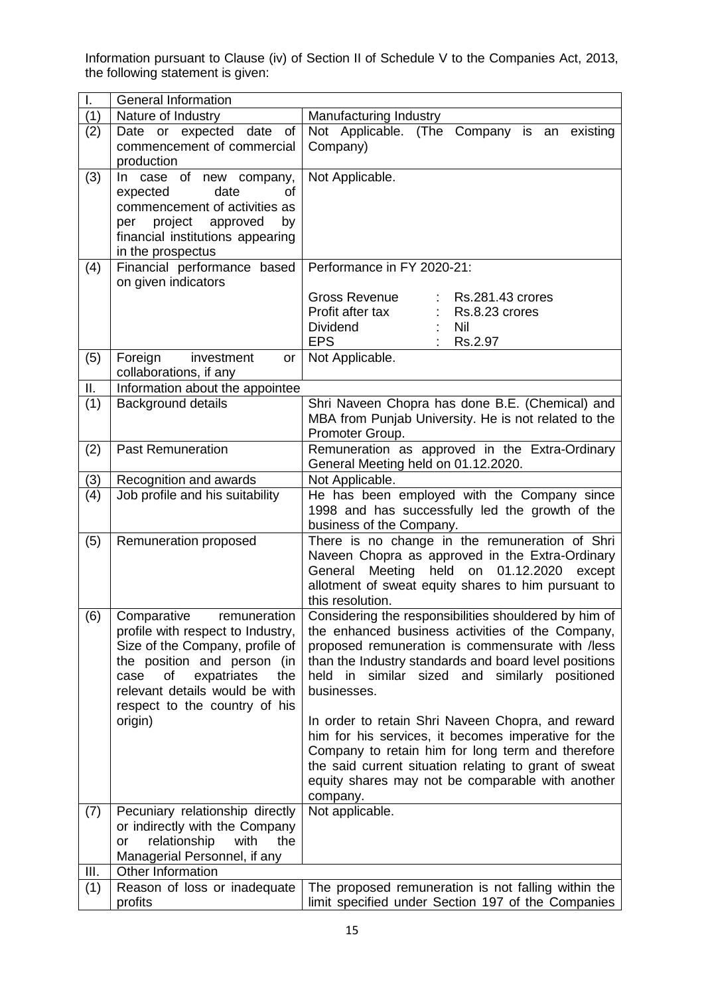Information pursuant to Clause (iv) of Section II of Schedule V to the Companies Act, 2013, the following statement is given:

| L.  | <b>General Information</b>                                                                                                                                                                                                                           |                                                                                                                                                                                                                                                                                                                                                                                                        |  |  |  |
|-----|------------------------------------------------------------------------------------------------------------------------------------------------------------------------------------------------------------------------------------------------------|--------------------------------------------------------------------------------------------------------------------------------------------------------------------------------------------------------------------------------------------------------------------------------------------------------------------------------------------------------------------------------------------------------|--|--|--|
| (1) | Nature of Industry                                                                                                                                                                                                                                   | Manufacturing Industry                                                                                                                                                                                                                                                                                                                                                                                 |  |  |  |
| (2) | Date or expected date<br>of<br>commencement of commercial<br>production                                                                                                                                                                              | Not Applicable. (The Company is an<br>existing<br>Company)                                                                                                                                                                                                                                                                                                                                             |  |  |  |
| (3) | In case of new company,<br>date<br>expected<br>οf<br>commencement of activities as<br>project approved<br>by<br>per<br>financial institutions appearing<br>in the prospectus                                                                         | Not Applicable.                                                                                                                                                                                                                                                                                                                                                                                        |  |  |  |
| (4) | Financial performance based<br>on given indicators                                                                                                                                                                                                   | Performance in FY 2020-21:                                                                                                                                                                                                                                                                                                                                                                             |  |  |  |
|     |                                                                                                                                                                                                                                                      | Gross Revenue<br>Rs.281.43 crores<br>Profit after tax<br>Rs.8.23 crores<br><b>Dividend</b><br><b>Nil</b><br><b>EPS</b><br>Rs.2.97                                                                                                                                                                                                                                                                      |  |  |  |
| (5) | Foreign<br>investment<br>or <sub>1</sub><br>collaborations, if any                                                                                                                                                                                   | Not Applicable.                                                                                                                                                                                                                                                                                                                                                                                        |  |  |  |
| Ш.  | Information about the appointee                                                                                                                                                                                                                      |                                                                                                                                                                                                                                                                                                                                                                                                        |  |  |  |
| (1) | Background details                                                                                                                                                                                                                                   | Shri Naveen Chopra has done B.E. (Chemical) and<br>MBA from Punjab University. He is not related to the<br>Promoter Group.                                                                                                                                                                                                                                                                             |  |  |  |
| (2) | <b>Past Remuneration</b>                                                                                                                                                                                                                             | Remuneration as approved in the Extra-Ordinary<br>General Meeting held on 01.12.2020.                                                                                                                                                                                                                                                                                                                  |  |  |  |
| (3) | Recognition and awards                                                                                                                                                                                                                               | Not Applicable.                                                                                                                                                                                                                                                                                                                                                                                        |  |  |  |
| (4) | Job profile and his suitability                                                                                                                                                                                                                      | He has been employed with the Company since<br>1998 and has successfully led the growth of the<br>business of the Company.                                                                                                                                                                                                                                                                             |  |  |  |
| (5) | Remuneration proposed                                                                                                                                                                                                                                | There is no change in the remuneration of Shri<br>Naveen Chopra as approved in the Extra-Ordinary<br>Meeting held on 01.12.2020<br>General<br>except<br>allotment of sweat equity shares to him pursuant to<br>this resolution.                                                                                                                                                                        |  |  |  |
| (6) | remuneration<br>Comparative<br>profile with respect to Industry,<br>Size of the Company, profile of<br>the position and person (in<br>of<br>expatriates<br>the<br>case<br>relevant details would be with<br>respect to the country of his<br>origin) | Considering the responsibilities shouldered by him of<br>the enhanced business activities of the Company,<br>proposed remuneration is commensurate with /less<br>than the Industry standards and board level positions<br>held<br>in similar sized and similarly positioned<br>businesses.<br>In order to retain Shri Naveen Chopra, and reward<br>him for his services, it becomes imperative for the |  |  |  |
|     |                                                                                                                                                                                                                                                      | Company to retain him for long term and therefore<br>the said current situation relating to grant of sweat<br>equity shares may not be comparable with another<br>company.                                                                                                                                                                                                                             |  |  |  |
| (7) | Pecuniary relationship directly<br>or indirectly with the Company<br>relationship<br>with<br>the<br>or<br>Managerial Personnel, if any                                                                                                               | Not applicable.                                                                                                                                                                                                                                                                                                                                                                                        |  |  |  |
| Ш.  | Other Information                                                                                                                                                                                                                                    |                                                                                                                                                                                                                                                                                                                                                                                                        |  |  |  |
| (1) | Reason of loss or inadequate<br>profits                                                                                                                                                                                                              | The proposed remuneration is not falling within the<br>limit specified under Section 197 of the Companies                                                                                                                                                                                                                                                                                              |  |  |  |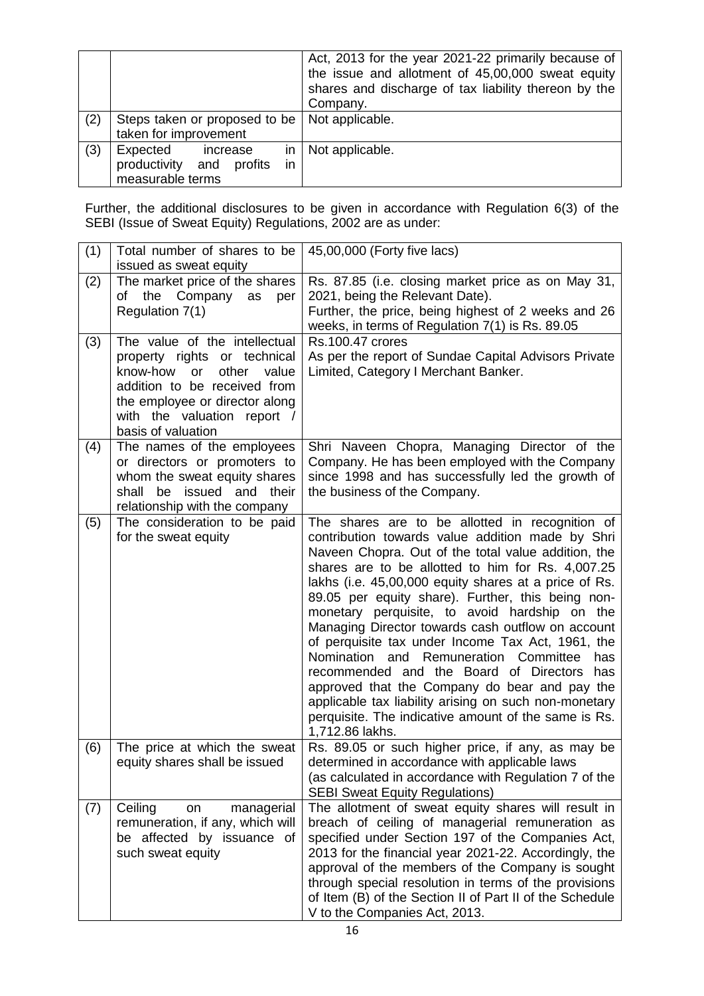|     |                                                                                  | Act, 2013 for the year 2021-22 primarily because of<br>the issue and allotment of 45,00,000 sweat equity<br>shares and discharge of tax liability thereon by the<br>Company. |
|-----|----------------------------------------------------------------------------------|------------------------------------------------------------------------------------------------------------------------------------------------------------------------------|
| (2) | Steps taken or proposed to be<br>taken for improvement                           | Not applicable.                                                                                                                                                              |
| (3) | Expected<br>increase<br>in<br>productivity and profits<br>in<br>measurable terms | Not applicable.                                                                                                                                                              |

Further, the additional disclosures to be given in accordance with Regulation 6(3) of the SEBI (Issue of Sweat Equity) Regulations, 2002 are as under:

| (1) | Total number of shares to be<br>issued as sweat equity                                                                                                                                                                   | 45,00,000 (Forty five lacs)                                                                                                                                                                                                                                                                                                                                                                                                                                                                                                                                                                                                                                                                                                                                                 |  |  |
|-----|--------------------------------------------------------------------------------------------------------------------------------------------------------------------------------------------------------------------------|-----------------------------------------------------------------------------------------------------------------------------------------------------------------------------------------------------------------------------------------------------------------------------------------------------------------------------------------------------------------------------------------------------------------------------------------------------------------------------------------------------------------------------------------------------------------------------------------------------------------------------------------------------------------------------------------------------------------------------------------------------------------------------|--|--|
| (2) | The market price of the shares<br>the Company as<br>of<br>per<br>Regulation 7(1)                                                                                                                                         | Rs. 87.85 (i.e. closing market price as on May 31,<br>2021, being the Relevant Date).<br>Further, the price, being highest of 2 weeks and 26<br>weeks, in terms of Regulation 7(1) is Rs. 89.05                                                                                                                                                                                                                                                                                                                                                                                                                                                                                                                                                                             |  |  |
| (3) | The value of the intellectual<br>property rights or technical<br>know-how<br>other<br>or<br>value<br>addition to be received from<br>the employee or director along<br>with the valuation report /<br>basis of valuation | <b>Rs.100.47 crores</b><br>As per the report of Sundae Capital Advisors Private<br>Limited, Category I Merchant Banker.                                                                                                                                                                                                                                                                                                                                                                                                                                                                                                                                                                                                                                                     |  |  |
| (4) | The names of the employees<br>or directors or promoters to<br>whom the sweat equity shares<br>issued and their<br>shall<br>be<br>relationship with the company                                                           | Shri Naveen Chopra, Managing Director of the<br>Company. He has been employed with the Company<br>since 1998 and has successfully led the growth of<br>the business of the Company.                                                                                                                                                                                                                                                                                                                                                                                                                                                                                                                                                                                         |  |  |
| (5) | The consideration to be paid<br>for the sweat equity                                                                                                                                                                     | The shares are to be allotted in recognition of<br>contribution towards value addition made by Shri<br>Naveen Chopra. Out of the total value addition, the<br>shares are to be allotted to him for Rs. 4,007.25<br>lakhs (i.e. 45,00,000 equity shares at a price of Rs.<br>89.05 per equity share). Further, this being non-<br>monetary perquisite, to avoid hardship on the<br>Managing Director towards cash outflow on account<br>of perquisite tax under Income Tax Act, 1961, the<br>Nomination and Remuneration Committee<br>has<br>recommended and the Board of Directors has<br>approved that the Company do bear and pay the<br>applicable tax liability arising on such non-monetary<br>perquisite. The indicative amount of the same is Rs.<br>1,712.86 lakhs. |  |  |
| (6) | The price at which the sweat<br>equity shares shall be issued                                                                                                                                                            | Rs. 89.05 or such higher price, if any, as may be<br>determined in accordance with applicable laws<br>(as calculated in accordance with Regulation 7 of the<br><b>SEBI Sweat Equity Regulations)</b>                                                                                                                                                                                                                                                                                                                                                                                                                                                                                                                                                                        |  |  |
| (7) | Ceiling<br>managerial<br>on<br>remuneration, if any, which will<br>be affected by issuance of<br>such sweat equity                                                                                                       | The allotment of sweat equity shares will result in<br>breach of ceiling of managerial remuneration as<br>specified under Section 197 of the Companies Act,<br>2013 for the financial year 2021-22. Accordingly, the<br>approval of the members of the Company is sought<br>through special resolution in terms of the provisions<br>of Item (B) of the Section II of Part II of the Schedule<br>V to the Companies Act, 2013.                                                                                                                                                                                                                                                                                                                                              |  |  |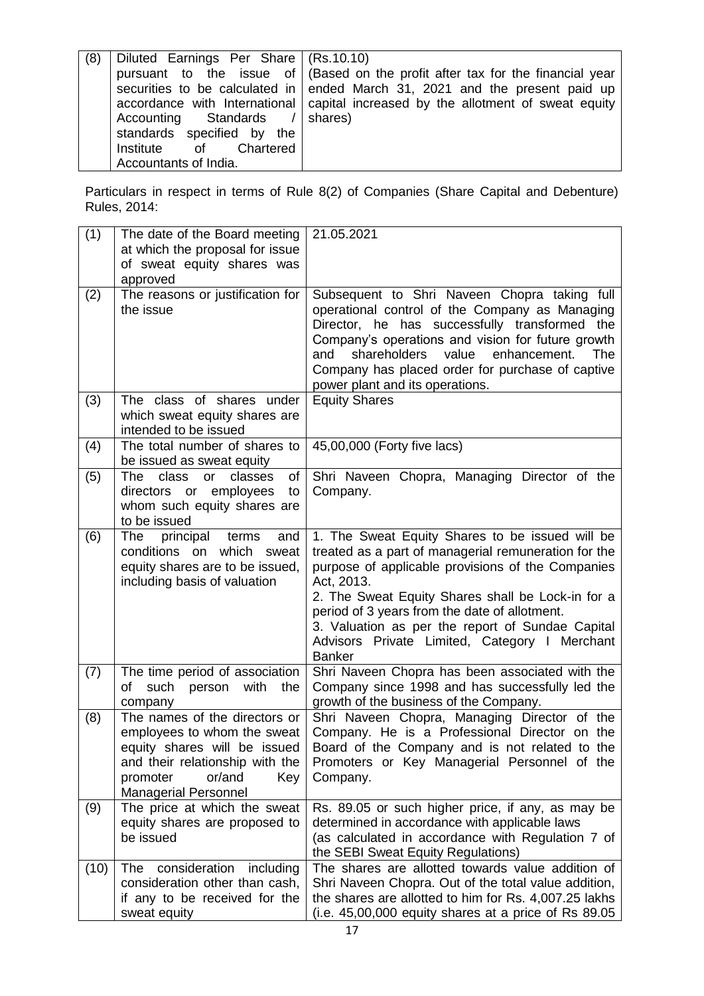| (8)<br>Diluted Earnings Per Share   (Rs.10.10)<br>Accounting Standards /<br>standards specified by the<br>Institute of Chartered<br>Accountants of India. | pursuant to the issue of   (Based on the profit after tax for the financial year<br>securities to be calculated in   ended March 31, 2021 and the present paid up<br>accordance with International capital increased by the allotment of sweat equity<br>shares) |
|-----------------------------------------------------------------------------------------------------------------------------------------------------------|------------------------------------------------------------------------------------------------------------------------------------------------------------------------------------------------------------------------------------------------------------------|
|-----------------------------------------------------------------------------------------------------------------------------------------------------------|------------------------------------------------------------------------------------------------------------------------------------------------------------------------------------------------------------------------------------------------------------------|

Particulars in respect in terms of Rule 8(2) of Companies (Share Capital and Debenture) Rules, 2014:

| (1)  | The date of the Board meeting<br>at which the proposal for issue<br>of sweat equity shares was<br>approved                                                                                  | 21.05.2021                                                                                                                                                                                                                                                                                                                                                                                             |
|------|---------------------------------------------------------------------------------------------------------------------------------------------------------------------------------------------|--------------------------------------------------------------------------------------------------------------------------------------------------------------------------------------------------------------------------------------------------------------------------------------------------------------------------------------------------------------------------------------------------------|
| (2)  | The reasons or justification for<br>the issue                                                                                                                                               | Subsequent to Shri Naveen Chopra taking full<br>operational control of the Company as Managing<br>Director, he has successfully transformed the<br>Company's operations and vision for future growth<br>shareholders<br>value<br>enhancement.<br>The<br>and<br>Company has placed order for purchase of captive<br>power plant and its operations.                                                     |
| (3)  | The class of shares under<br>which sweat equity shares are<br>intended to be issued                                                                                                         | <b>Equity Shares</b>                                                                                                                                                                                                                                                                                                                                                                                   |
| (4)  | The total number of shares to<br>be issued as sweat equity                                                                                                                                  | 45,00,000 (Forty five lacs)                                                                                                                                                                                                                                                                                                                                                                            |
| (5)  | The<br>class<br>classes<br><b>or</b><br>οf<br>directors or employees<br>to<br>whom such equity shares are<br>to be issued                                                                   | Shri Naveen Chopra, Managing Director of the<br>Company.                                                                                                                                                                                                                                                                                                                                               |
| (6)  | The<br>principal<br>terms<br>and<br>conditions on which sweat<br>equity shares are to be issued,<br>including basis of valuation                                                            | 1. The Sweat Equity Shares to be issued will be<br>treated as a part of managerial remuneration for the<br>purpose of applicable provisions of the Companies<br>Act, 2013.<br>2. The Sweat Equity Shares shall be Lock-in for a<br>period of 3 years from the date of allotment.<br>3. Valuation as per the report of Sundae Capital<br>Advisors Private Limited, Category I Merchant<br><b>Banker</b> |
| (7)  | The time period of association<br>such<br>person<br>with<br>οf<br>the<br>company                                                                                                            | Shri Naveen Chopra has been associated with the<br>Company since 1998 and has successfully led the<br>growth of the business of the Company.                                                                                                                                                                                                                                                           |
| (8)  | The names of the directors or<br>employees to whom the sweat<br>equity shares will be issued<br>and their relationship with the<br>or/and<br>promoter<br>Key<br><b>Managerial Personnel</b> | Shri Naveen Chopra, Managing Director of the<br>Company. He is a Professional Director on the<br>Board of the Company and is not related to the<br>Promoters or Key Managerial Personnel of the<br>Company.                                                                                                                                                                                            |
| (9)  | The price at which the sweat<br>equity shares are proposed to<br>be issued                                                                                                                  | Rs. 89.05 or such higher price, if any, as may be<br>determined in accordance with applicable laws<br>(as calculated in accordance with Regulation 7 of<br>the SEBI Sweat Equity Regulations)                                                                                                                                                                                                          |
| (10) | consideration<br>The<br>including<br>consideration other than cash,<br>if any to be received for the<br>sweat equity                                                                        | The shares are allotted towards value addition of<br>Shri Naveen Chopra. Out of the total value addition,<br>the shares are allotted to him for Rs. 4,007.25 lakhs<br>(i.e. $45,00,000$ equity shares at a price of Rs $89.05$                                                                                                                                                                         |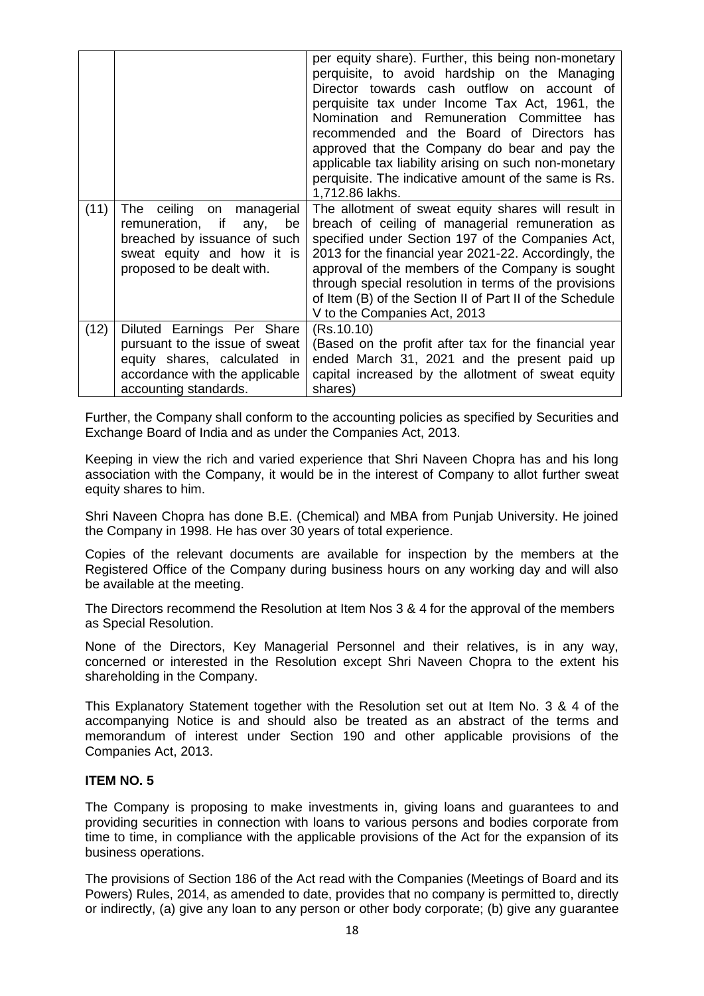|      |                                                                                                                                                               | per equity share). Further, this being non-monetary<br>perquisite, to avoid hardship on the Managing<br>Director towards cash outflow on account of<br>perquisite tax under Income Tax Act, 1961, the<br>Nomination and Remuneration Committee<br>has<br>recommended and the Board of Directors has<br>approved that the Company do bear and pay the<br>applicable tax liability arising on such non-monetary<br>perquisite. The indicative amount of the same is Rs.<br>1,712.86 lakhs. |
|------|---------------------------------------------------------------------------------------------------------------------------------------------------------------|------------------------------------------------------------------------------------------------------------------------------------------------------------------------------------------------------------------------------------------------------------------------------------------------------------------------------------------------------------------------------------------------------------------------------------------------------------------------------------------|
| (11) | The ceiling<br>managerial<br>on<br>remuneration, if<br>be<br>any,<br>breached by issuance of such<br>sweat equity and how it is<br>proposed to be dealt with. | The allotment of sweat equity shares will result in<br>breach of ceiling of managerial remuneration as<br>specified under Section 197 of the Companies Act,<br>2013 for the financial year 2021-22. Accordingly, the<br>approval of the members of the Company is sought<br>through special resolution in terms of the provisions<br>of Item (B) of the Section II of Part II of the Schedule<br>V to the Companies Act, 2013                                                            |
| (12) | Diluted Earnings Per Share<br>pursuant to the issue of sweat<br>equity shares, calculated in<br>accordance with the applicable<br>accounting standards.       | (Rs.10.10)<br>(Based on the profit after tax for the financial year<br>ended March 31, 2021 and the present paid up<br>capital increased by the allotment of sweat equity<br>shares)                                                                                                                                                                                                                                                                                                     |

Further, the Company shall conform to the accounting policies as specified by Securities and Exchange Board of India and as under the Companies Act, 2013.

Keeping in view the rich and varied experience that Shri Naveen Chopra has and his long association with the Company, it would be in the interest of Company to allot further sweat equity shares to him.

Shri Naveen Chopra has done B.E. (Chemical) and MBA from Punjab University. He joined the Company in 1998. He has over 30 years of total experience.

Copies of the relevant documents are available for inspection by the members at the Registered Office of the Company during business hours on any working day and will also be available at the meeting.

The Directors recommend the Resolution at Item Nos 3 & 4 for the approval of the members as Special Resolution.

None of the Directors, Key Managerial Personnel and their relatives, is in any way, concerned or interested in the Resolution except Shri Naveen Chopra to the extent his shareholding in the Company.

This Explanatory Statement together with the Resolution set out at Item No. 3 & 4 of the accompanying Notice is and should also be treated as an abstract of the terms and memorandum of interest under Section 190 and other applicable provisions of the Companies Act, 2013.

#### **ITEM NO. 5**

The Company is proposing to make investments in, giving loans and guarantees to and providing securities in connection with loans to various persons and bodies corporate from time to time, in compliance with the applicable provisions of the Act for the expansion of its business operations.

The provisions of Section 186 of the Act read with the Companies (Meetings of Board and its Powers) Rules, 2014, as amended to date, provides that no company is permitted to, directly or indirectly, (a) give any loan to any person or other body corporate; (b) give any guarantee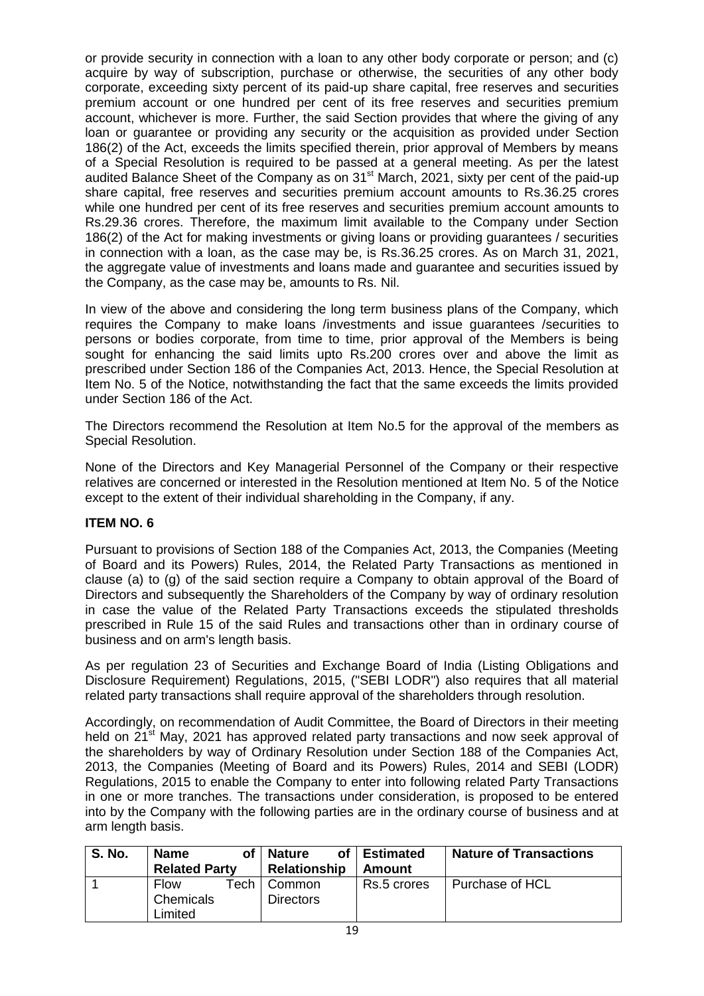or provide security in connection with a loan to any other body corporate or person; and (c) acquire by way of subscription, purchase or otherwise, the securities of any other body corporate, exceeding sixty percent of its paid-up share capital, free reserves and securities premium account or one hundred per cent of its free reserves and securities premium account, whichever is more. Further, the said Section provides that where the giving of any loan or guarantee or providing any security or the acquisition as provided under Section 186(2) of the Act, exceeds the limits specified therein, prior approval of Members by means of a Special Resolution is required to be passed at a general meeting. As per the latest audited Balance Sheet of the Company as on 31<sup>st</sup> March, 2021, sixty per cent of the paid-up share capital, free reserves and securities premium account amounts to Rs.36.25 crores while one hundred per cent of its free reserves and securities premium account amounts to Rs.29.36 crores. Therefore, the maximum limit available to the Company under Section 186(2) of the Act for making investments or giving loans or providing guarantees / securities in connection with a loan, as the case may be, is Rs.36.25 crores. As on March 31, 2021, the aggregate value of investments and loans made and guarantee and securities issued by the Company, as the case may be, amounts to Rs. Nil.

In view of the above and considering the long term business plans of the Company, which requires the Company to make loans /investments and issue guarantees /securities to persons or bodies corporate, from time to time, prior approval of the Members is being sought for enhancing the said limits upto Rs.200 crores over and above the limit as prescribed under Section 186 of the Companies Act, 2013. Hence, the Special Resolution at Item No. 5 of the Notice, notwithstanding the fact that the same exceeds the limits provided under Section 186 of the Act.

The Directors recommend the Resolution at Item No.5 for the approval of the members as Special Resolution.

None of the Directors and Key Managerial Personnel of the Company or their respective relatives are concerned or interested in the Resolution mentioned at Item No. 5 of the Notice except to the extent of their individual shareholding in the Company, if any.

# **ITEM NO. 6**

Pursuant to provisions of Section 188 of the Companies Act, 2013, the Companies (Meeting of Board and its Powers) Rules, 2014, the Related Party Transactions as mentioned in clause (a) to (g) of the said section require a Company to obtain approval of the Board of Directors and subsequently the Shareholders of the Company by way of ordinary resolution in case the value of the Related Party Transactions exceeds the stipulated thresholds prescribed in Rule 15 of the said Rules and transactions other than in ordinary course of business and on arm's length basis.

As per regulation 23 of Securities and Exchange Board of India (Listing Obligations and Disclosure Requirement) Regulations, 2015, ("SEBI LODR") also requires that all material related party transactions shall require approval of the shareholders through resolution.

Accordingly, on recommendation of Audit Committee, the Board of Directors in their meeting held on 21<sup>st</sup> May, 2021 has approved related party transactions and now seek approval of the shareholders by way of Ordinary Resolution under Section 188 of the Companies Act, 2013, the Companies (Meeting of Board and its Powers) Rules, 2014 and SEBI (LODR) Regulations, 2015 to enable the Company to enter into following related Party Transactions in one or more tranches. The transactions under consideration, is proposed to be entered into by the Company with the following parties are in the ordinary course of business and at arm length basis.

| <b>S. No.</b> | <b>Name</b>          | оf   | Nature<br>оf     | <b>∣Estimated</b> | <b>Nature of Transactions</b> |
|---------------|----------------------|------|------------------|-------------------|-------------------------------|
|               | <b>Related Party</b> |      | Relationship     | Amount            |                               |
|               | <b>Flow</b>          | Tech | Common           | Rs.5 crores       | Purchase of HCL               |
|               | Chemicals            |      | <b>Directors</b> |                   |                               |
|               | Limited              |      |                  |                   |                               |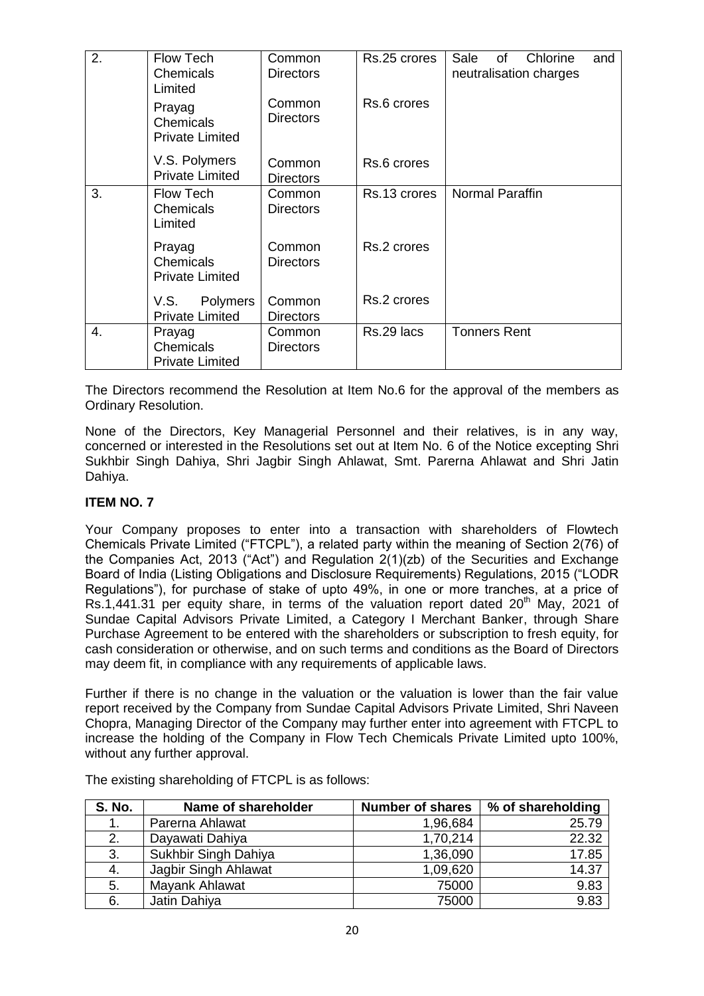| 2. | <b>Flow Tech</b><br>Chemicals<br>Limited      | Common<br><b>Directors</b> | Rs.25 crores | Sale<br>of<br>Chlorine<br>and<br>neutralisation charges |
|----|-----------------------------------------------|----------------------------|--------------|---------------------------------------------------------|
|    | Prayag<br>Chemicals<br><b>Private Limited</b> | Common<br><b>Directors</b> | Rs.6 crores  |                                                         |
|    | V.S. Polymers<br><b>Private Limited</b>       | Common<br><b>Directors</b> | Rs.6 crores  |                                                         |
| 3. | <b>Flow Tech</b><br>Chemicals<br>Limited      | Common<br><b>Directors</b> | Rs.13 crores | <b>Normal Paraffin</b>                                  |
|    | Prayag<br>Chemicals<br><b>Private Limited</b> | Common<br><b>Directors</b> | Rs.2 crores  |                                                         |
|    | V.S.<br>Polymers<br><b>Private Limited</b>    | Common<br><b>Directors</b> | Rs.2 crores  |                                                         |
| 4. | Prayag<br>Chemicals<br><b>Private Limited</b> | Common<br><b>Directors</b> | Rs.29 lacs   | <b>Tonners Rent</b>                                     |

The Directors recommend the Resolution at Item No.6 for the approval of the members as Ordinary Resolution.

None of the Directors, Key Managerial Personnel and their relatives, is in any way, concerned or interested in the Resolutions set out at Item No. 6 of the Notice excepting Shri Sukhbir Singh Dahiya, Shri Jagbir Singh Ahlawat, Smt. Parerna Ahlawat and Shri Jatin Dahiya.

# **ITEM NO. 7**

Your Company proposes to enter into a transaction with shareholders of Flowtech Chemicals Private Limited ("FTCPL"), a related party within the meaning of Section 2(76) of the Companies Act, 2013 ("Act") and Regulation 2(1)(zb) of the Securities and Exchange Board of India (Listing Obligations and Disclosure Requirements) Regulations, 2015 ("LODR Regulations"), for purchase of stake of upto 49%, in one or more tranches, at a price of Rs.1,441.31 per equity share, in terms of the valuation report dated  $20<sup>th</sup>$  May, 2021 of Sundae Capital Advisors Private Limited, a Category I Merchant Banker, through Share Purchase Agreement to be entered with the shareholders or subscription to fresh equity, for cash consideration or otherwise, and on such terms and conditions as the Board of Directors may deem fit, in compliance with any requirements of applicable laws.

Further if there is no change in the valuation or the valuation is lower than the fair value report received by the Company from Sundae Capital Advisors Private Limited, Shri Naveen Chopra, Managing Director of the Company may further enter into agreement with FTCPL to increase the holding of the Company in Flow Tech Chemicals Private Limited upto 100%, without any further approval.

| <b>S. No.</b> | Name of shareholder  | <b>Number of shares</b> | % of shareholding |
|---------------|----------------------|-------------------------|-------------------|
| 1.            | Parerna Ahlawat      | 1,96,684                | 25.79             |
| 2.            | Dayawati Dahiya      | 1,70,214                | 22.32             |
| 3.            | Sukhbir Singh Dahiya | 1,36,090                | 17.85             |
| 4.            | Jagbir Singh Ahlawat | 1,09,620                | 14.37             |
| 5.            | Mayank Ahlawat       | 75000                   | 9.83              |
| 6.            | Jatin Dahiya         | 75000                   | 9.83              |

The existing shareholding of FTCPL is as follows: